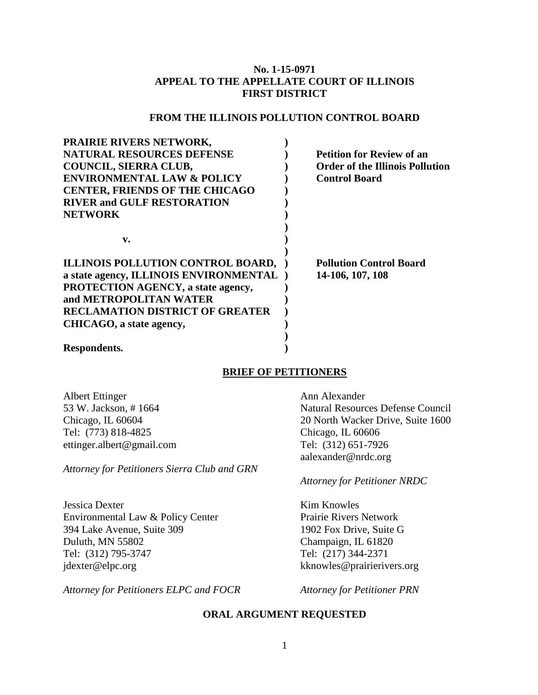## **No. 1-15-0971 APPEAL TO THE APPELLATE COURT OF ILLINOIS FIRST DISTRICT**

## **FROM THE ILLINOIS POLLUTION CONTROL BOARD**

| <b>Petition for Review of an</b>                                    |
|---------------------------------------------------------------------|
| <b>Order of the Illinois Pollution</b>                              |
| <b>Control Board</b>                                                |
|                                                                     |
|                                                                     |
|                                                                     |
|                                                                     |
|                                                                     |
|                                                                     |
| ILLINOIS POLLUTION CONTROL BOARD,<br><b>Pollution Control Board</b> |
| a state agency, ILLINOIS ENVIRONMENTAL)<br>14-106, 107, 108         |
|                                                                     |
|                                                                     |
|                                                                     |
|                                                                     |
|                                                                     |
|                                                                     |
|                                                                     |

## **BRIEF OF PETITIONERS**

Albert Ettinger 53 W. Jackson, # 1664 Chicago, IL 60604 Tel: (773) 818-4825 ettinger.albert@gmail.com

*Attorney for Petitioners Sierra Club and GRN*

Jessica Dexter Environmental Law & Policy Center 394 Lake Avenue, Suite 309 Duluth, MN 55802 Tel: (312) 795-3747 jdexter@elpc.org

*Attorney for Petitioners ELPC and FOCR Attorney for Petitioner PRN*

Ann Alexander Natural Resources Defense Council 20 North Wacker Drive, Suite 1600 Chicago, IL 60606 Tel: (312) 651-7926 aalexander@nrdc.org

### *Attorney for Petitioner NRDC*

Kim Knowles Prairie Rivers Network 1902 Fox Drive, Suite G Champaign, IL 61820 Tel: (217) 344-2371 kknowles@prairierivers.org

### **ORAL ARGUMENT REQUESTED**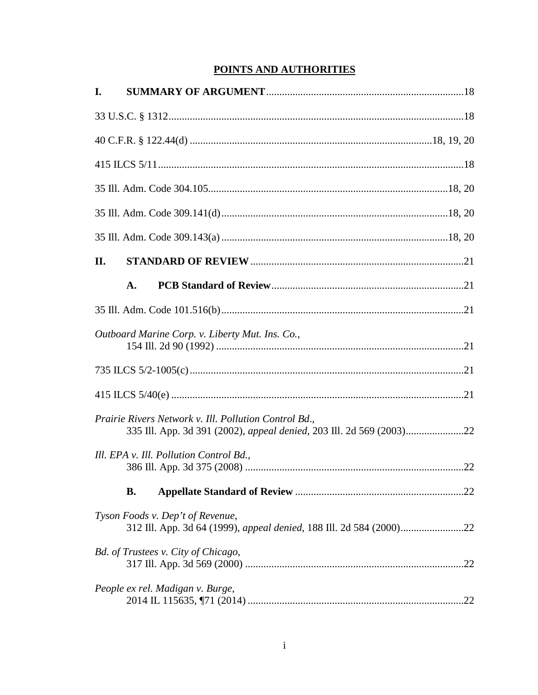# POINTS AND AUTHORITIES

| I.                                                                                                                            |  |
|-------------------------------------------------------------------------------------------------------------------------------|--|
|                                                                                                                               |  |
|                                                                                                                               |  |
|                                                                                                                               |  |
|                                                                                                                               |  |
|                                                                                                                               |  |
|                                                                                                                               |  |
| II.                                                                                                                           |  |
| A.                                                                                                                            |  |
|                                                                                                                               |  |
| Outboard Marine Corp. v. Liberty Mut. Ins. Co.,                                                                               |  |
|                                                                                                                               |  |
|                                                                                                                               |  |
| Prairie Rivers Network v. Ill. Pollution Control Bd.,<br>335 Ill. App. 3d 391 (2002), appeal denied, 203 Ill. 2d 569 (2003)22 |  |
| Ill. EPA v. Ill. Pollution Control Bd.,                                                                                       |  |
| <b>B.</b>                                                                                                                     |  |
| Tyson Foods v. Dep't of Revenue,                                                                                              |  |
| Bd. of Trustees v. City of Chicago,                                                                                           |  |
| People ex rel. Madigan v. Burge,                                                                                              |  |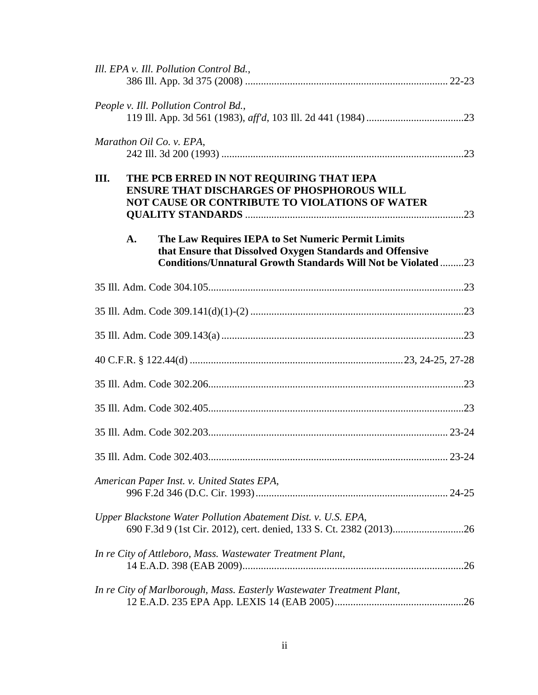|    | Ill. EPA v. Ill. Pollution Control Bd.,                                                                                                                                                |  |
|----|----------------------------------------------------------------------------------------------------------------------------------------------------------------------------------------|--|
|    | People v. Ill. Pollution Control Bd.,                                                                                                                                                  |  |
|    | Marathon Oil Co. v. EPA,                                                                                                                                                               |  |
| Ш. | THE PCB ERRED IN NOT REQUIRING THAT IEPA<br><b>ENSURE THAT DISCHARGES OF PHOSPHOROUS WILL</b><br>NOT CAUSE OR CONTRIBUTE TO VIOLATIONS OF WATER                                        |  |
|    |                                                                                                                                                                                        |  |
|    | A.<br>The Law Requires IEPA to Set Numeric Permit Limits<br>that Ensure that Dissolved Oxygen Standards and Offensive<br>Conditions/Unnatural Growth Standards Will Not be Violated 23 |  |
|    |                                                                                                                                                                                        |  |
|    |                                                                                                                                                                                        |  |
|    |                                                                                                                                                                                        |  |
|    |                                                                                                                                                                                        |  |
|    |                                                                                                                                                                                        |  |
|    |                                                                                                                                                                                        |  |
|    |                                                                                                                                                                                        |  |
|    | 23-24                                                                                                                                                                                  |  |
|    | American Paper Inst. v. United States EPA,                                                                                                                                             |  |
|    | Upper Blackstone Water Pollution Abatement Dist. v. U.S. EPA,                                                                                                                          |  |
|    | In re City of Attleboro, Mass. Wastewater Treatment Plant,                                                                                                                             |  |
|    | In re City of Marlborough, Mass. Easterly Wastewater Treatment Plant,                                                                                                                  |  |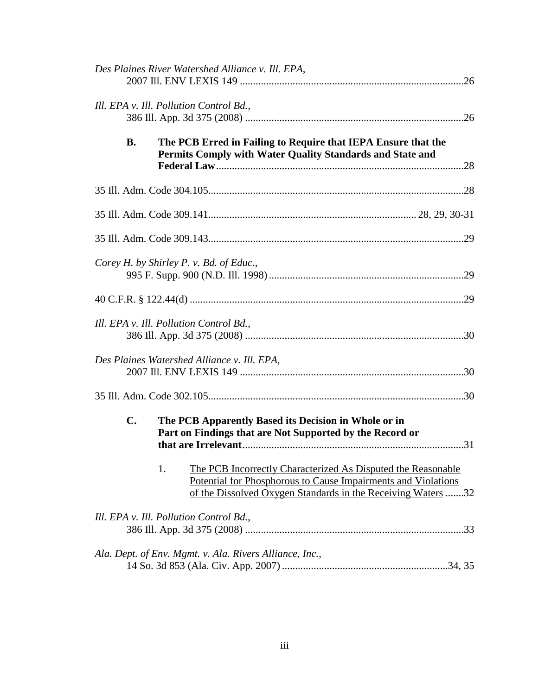| Des Plaines River Watershed Alliance v. Ill. EPA,                                                                                                                                                   |
|-----------------------------------------------------------------------------------------------------------------------------------------------------------------------------------------------------|
| Ill. EPA v. Ill. Pollution Control Bd.,                                                                                                                                                             |
| <b>B.</b><br>The PCB Erred in Failing to Require that IEPA Ensure that the<br>Permits Comply with Water Quality Standards and State and                                                             |
|                                                                                                                                                                                                     |
|                                                                                                                                                                                                     |
|                                                                                                                                                                                                     |
| Corey H. by Shirley P. v. Bd. of Educ.,                                                                                                                                                             |
|                                                                                                                                                                                                     |
| Ill. EPA v. Ill. Pollution Control Bd.,                                                                                                                                                             |
| Des Plaines Watershed Alliance v. Ill. EPA,                                                                                                                                                         |
|                                                                                                                                                                                                     |
| $\mathbf{C}$ .<br>The PCB Apparently Based its Decision in Whole or in<br>Part on Findings that are Not Supported by the Record or                                                                  |
| 1.<br>The PCB Incorrectly Characterized As Disputed the Reasonable<br>Potential for Phosphorous to Cause Impairments and Violations<br>of the Dissolved Oxygen Standards in the Receiving Waters 32 |
| Ill. EPA v. Ill. Pollution Control Bd.,                                                                                                                                                             |
| Ala. Dept. of Env. Mgmt. v. Ala. Rivers Alliance, Inc.,                                                                                                                                             |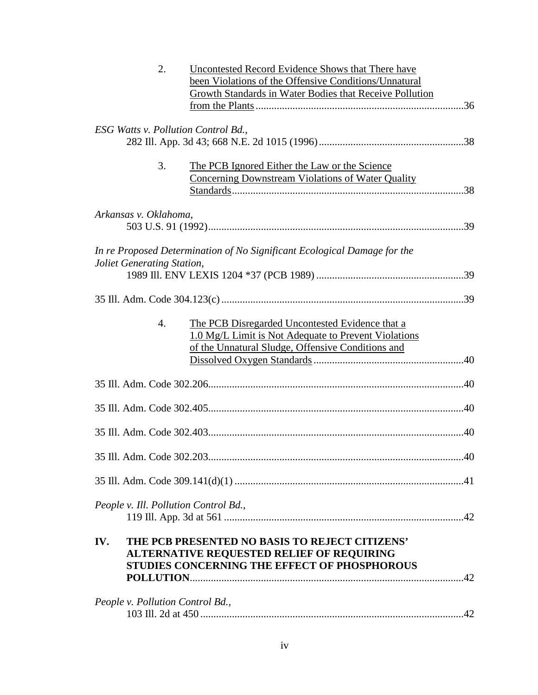| 2.<br>Uncontested Record Evidence Shows that There have                  |  |
|--------------------------------------------------------------------------|--|
| been Violations of the Offensive Conditions/Unnatural                    |  |
| Growth Standards in Water Bodies that Receive Pollution                  |  |
|                                                                          |  |
| <b>ESG Watts v. Pollution Control Bd.,</b>                               |  |
|                                                                          |  |
|                                                                          |  |
| 3.<br>The PCB Ignored Either the Law or the Science                      |  |
| <b>Concerning Downstream Violations of Water Quality</b>                 |  |
|                                                                          |  |
| Arkansas v. Oklahoma,                                                    |  |
|                                                                          |  |
|                                                                          |  |
| In re Proposed Determination of No Significant Ecological Damage for the |  |
| Joliet Generating Station,                                               |  |
|                                                                          |  |
|                                                                          |  |
|                                                                          |  |
| 4.<br>The PCB Disregarded Uncontested Evidence that a                    |  |
| 1.0 Mg/L Limit is Not Adequate to Prevent Violations                     |  |
| of the Unnatural Sludge, Offensive Conditions and                        |  |
|                                                                          |  |
|                                                                          |  |
|                                                                          |  |
|                                                                          |  |
|                                                                          |  |
| 40<br>35 III. Adm. Code 302.203.                                         |  |
|                                                                          |  |
|                                                                          |  |
| People v. Ill. Pollution Control Bd.,                                    |  |
|                                                                          |  |
|                                                                          |  |
| THE PCB PRESENTED NO BASIS TO REJECT CITIZENS'<br>IV.                    |  |
| <b>ALTERNATIVE REQUESTED RELIEF OF REQUIRING</b>                         |  |
| STUDIES CONCERNING THE EFFECT OF PHOSPHOROUS                             |  |
|                                                                          |  |
| People v. Pollution Control Bd.,                                         |  |
|                                                                          |  |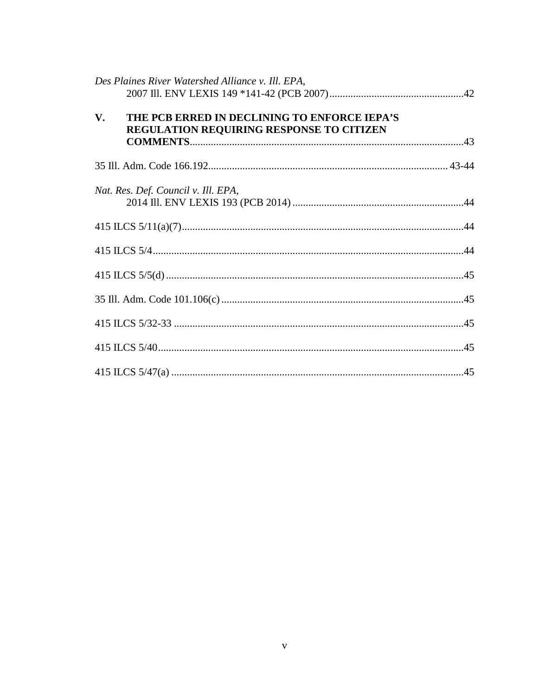| Des Plaines River Watershed Alliance v. Ill. EPA,                                                     |  |
|-------------------------------------------------------------------------------------------------------|--|
| V.<br>THE PCB ERRED IN DECLINING TO ENFORCE IEPA'S<br><b>REGULATION REQUIRING RESPONSE TO CITIZEN</b> |  |
|                                                                                                       |  |
| Nat. Res. Def. Council v. Ill. EPA,                                                                   |  |
|                                                                                                       |  |
|                                                                                                       |  |
|                                                                                                       |  |
|                                                                                                       |  |
|                                                                                                       |  |
|                                                                                                       |  |
|                                                                                                       |  |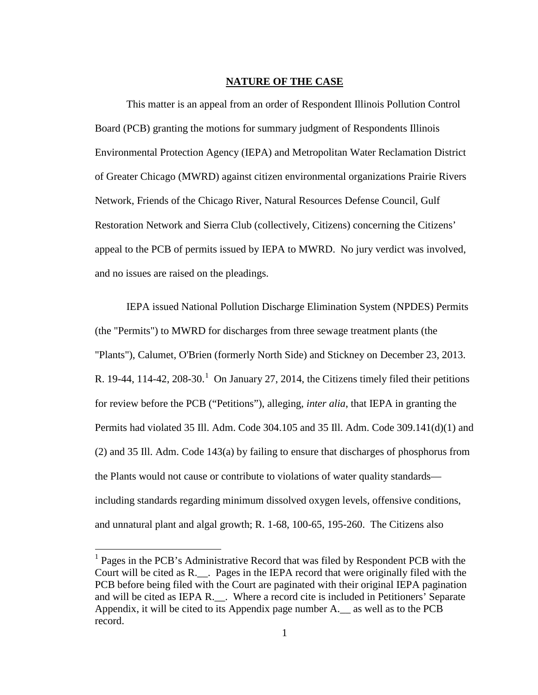### **NATURE OF THE CASE**

This matter is an appeal from an order of Respondent Illinois Pollution Control Board (PCB) granting the motions for summary judgment of Respondents Illinois Environmental Protection Agency (IEPA) and Metropolitan Water Reclamation District of Greater Chicago (MWRD) against citizen environmental organizations Prairie Rivers Network, Friends of the Chicago River, Natural Resources Defense Council, Gulf Restoration Network and Sierra Club (collectively, Citizens) concerning the Citizens' appeal to the PCB of permits issued by IEPA to MWRD. No jury verdict was involved, and no issues are raised on the pleadings.

 IEPA issued National Pollution Discharge Elimination System (NPDES) Permits (the "Permits") to MWRD for discharges from three sewage treatment plants (the "Plants"), Calumet, O'Brien (formerly North Side) and Stickney on December 23, 2013. R. 19-44, 114-42, 208-30.<sup>1</sup> On January 27, 2014, the Citizens timely filed their petitions for review before the PCB ("Petitions"), alleging, *inter alia*, that IEPA in granting the Permits had violated 35 Ill. Adm. Code 304.105 and 35 Ill. Adm. Code 309.141(d)(1) and (2) and 35 Ill. Adm. Code 143(a) by failing to ensure that discharges of phosphorus from the Plants would not cause or contribute to violations of water quality standards including standards regarding minimum dissolved oxygen levels, offensive conditions, and unnatural plant and algal growth; R. 1-68, 100-65, 195-260. The Citizens also

<sup>&</sup>lt;sup>1</sup> Pages in the PCB's Administrative Record that was filed by Respondent PCB with the Court will be cited as R.\_\_. Pages in the IEPA record that were originally filed with the PCB before being filed with the Court are paginated with their original IEPA pagination and will be cited as IEPA R.\_\_. Where a record cite is included in Petitioners' Separate Appendix, it will be cited to its Appendix page number A.\_\_ as well as to the PCB record.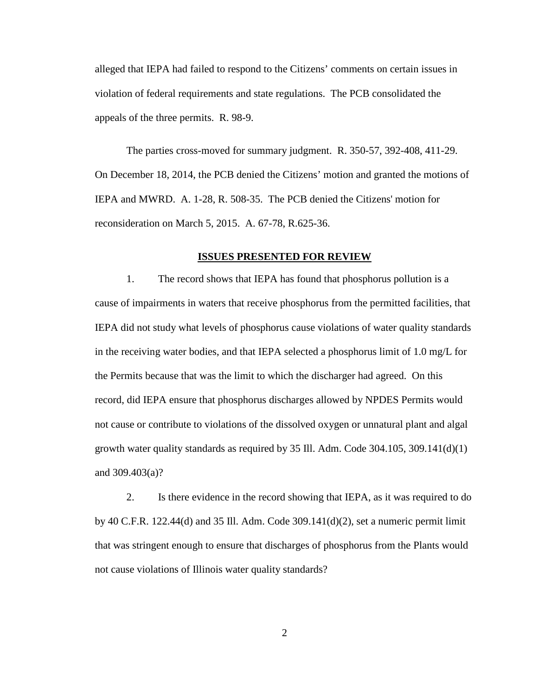alleged that IEPA had failed to respond to the Citizens' comments on certain issues in violation of federal requirements and state regulations. The PCB consolidated the appeals of the three permits. R. 98-9.

The parties cross-moved for summary judgment. R. 350-57, 392-408, 411-29. On December 18, 2014, the PCB denied the Citizens' motion and granted the motions of IEPA and MWRD. A. 1-28, R. 508-35. The PCB denied the Citizens' motion for reconsideration on March 5, 2015. A. 67-78, R.625-36.

#### **ISSUES PRESENTED FOR REVIEW**

1. The record shows that IEPA has found that phosphorus pollution is a cause of impairments in waters that receive phosphorus from the permitted facilities, that IEPA did not study what levels of phosphorus cause violations of water quality standards in the receiving water bodies, and that IEPA selected a phosphorus limit of 1.0 mg/L for the Permits because that was the limit to which the discharger had agreed. On this record, did IEPA ensure that phosphorus discharges allowed by NPDES Permits would not cause or contribute to violations of the dissolved oxygen or unnatural plant and algal growth water quality standards as required by 35 Ill. Adm. Code 304.105, 309.141(d)(1) and 309.403(a)?

2. Is there evidence in the record showing that IEPA, as it was required to do by 40 C.F.R. 122.44(d) and 35 Ill. Adm. Code 309.141(d)(2), set a numeric permit limit that was stringent enough to ensure that discharges of phosphorus from the Plants would not cause violations of Illinois water quality standards?

2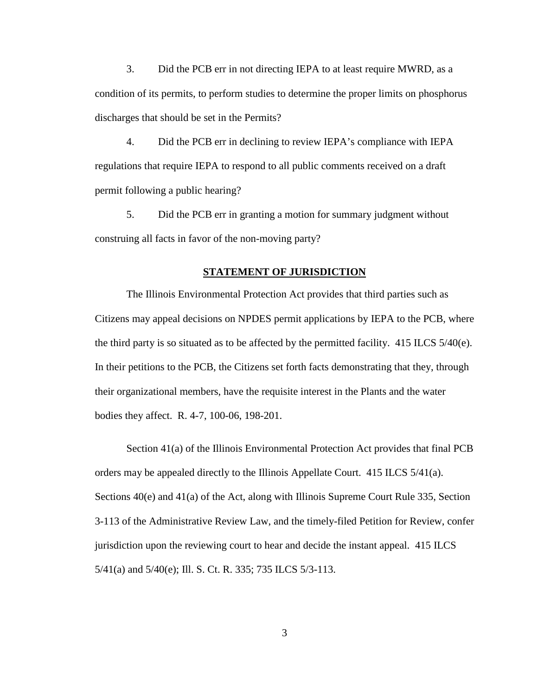3. Did the PCB err in not directing IEPA to at least require MWRD, as a condition of its permits, to perform studies to determine the proper limits on phosphorus discharges that should be set in the Permits?

4. Did the PCB err in declining to review IEPA's compliance with IEPA regulations that require IEPA to respond to all public comments received on a draft permit following a public hearing?

5. Did the PCB err in granting a motion for summary judgment without construing all facts in favor of the non-moving party?

#### **STATEMENT OF JURISDICTION**

 The Illinois Environmental Protection Act provides that third parties such as Citizens may appeal decisions on NPDES permit applications by IEPA to the PCB, where the third party is so situated as to be affected by the permitted facility. 415 ILCS 5/40(e). In their petitions to the PCB, the Citizens set forth facts demonstrating that they, through their organizational members, have the requisite interest in the Plants and the water bodies they affect. R. 4-7, 100-06, 198-201.

Section 41(a) of the Illinois Environmental Protection Act provides that final PCB orders may be appealed directly to the Illinois Appellate Court. 415 ILCS 5/41(a). Sections 40(e) and 41(a) of the Act, along with Illinois Supreme Court Rule 335, Section 3-113 of the Administrative Review Law, and the timely-filed Petition for Review, confer jurisdiction upon the reviewing court to hear and decide the instant appeal. 415 ILCS 5/41(a) and 5/40(e); Ill. S. Ct. R. 335; 735 ILCS 5/3-113.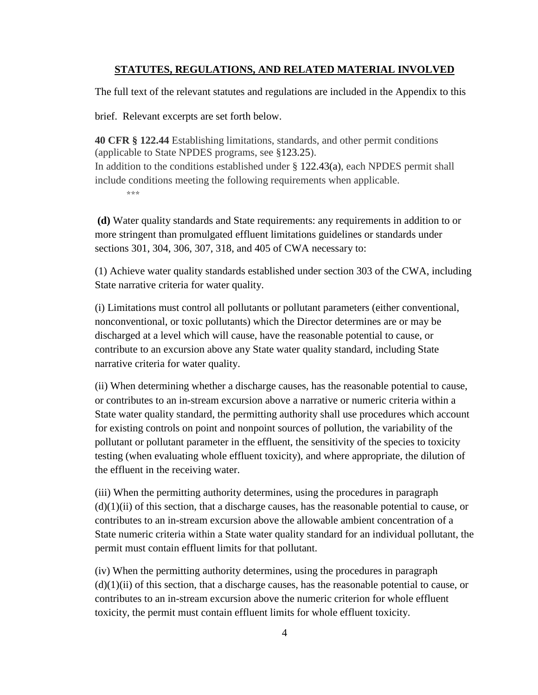## **STATUTES, REGULATIONS, AND RELATED MATERIAL INVOLVED**

The full text of the relevant statutes and regulations are included in the Appendix to this

brief. Relevant excerpts are set forth below.

**40 CFR § 122.44** Establishing limitations, standards, and other permit conditions (applicable to State NPDES programs, see §123.25). In addition to the conditions established under  $\S$  122.43(a), each NPDES permit shall include conditions meeting the following requirements when applicable. \*\*\*

**(d)** Water quality standards and State requirements: any requirements in addition to or more stringent than promulgated effluent limitations guidelines or standards under sections 301, 304, 306, 307, 318, and 405 of CWA necessary to:

(1) Achieve water quality standards established under section 303 of the CWA, including State narrative criteria for water quality.

(i) Limitations must control all pollutants or pollutant parameters (either conventional, nonconventional, or toxic pollutants) which the Director determines are or may be discharged at a level which will cause, have the reasonable potential to cause, or contribute to an excursion above any State water quality standard, including State narrative criteria for water quality.

(ii) When determining whether a discharge causes, has the reasonable potential to cause, or contributes to an in-stream excursion above a narrative or numeric criteria within a State water quality standard, the permitting authority shall use procedures which account for existing controls on point and nonpoint sources of pollution, the variability of the pollutant or pollutant parameter in the effluent, the sensitivity of the species to toxicity testing (when evaluating whole effluent toxicity), and where appropriate, the dilution of the effluent in the receiving water.

(iii) When the permitting authority determines, using the procedures in paragraph  $(d)(1)(ii)$  of this section, that a discharge causes, has the reasonable potential to cause, or contributes to an in-stream excursion above the allowable ambient concentration of a State numeric criteria within a State water quality standard for an individual pollutant, the permit must contain effluent limits for that pollutant.

(iv) When the permitting authority determines, using the procedures in paragraph  $(d)(1)(ii)$  of this section, that a discharge causes, has the reasonable potential to cause, or contributes to an in-stream excursion above the numeric criterion for whole effluent toxicity, the permit must contain effluent limits for whole effluent toxicity.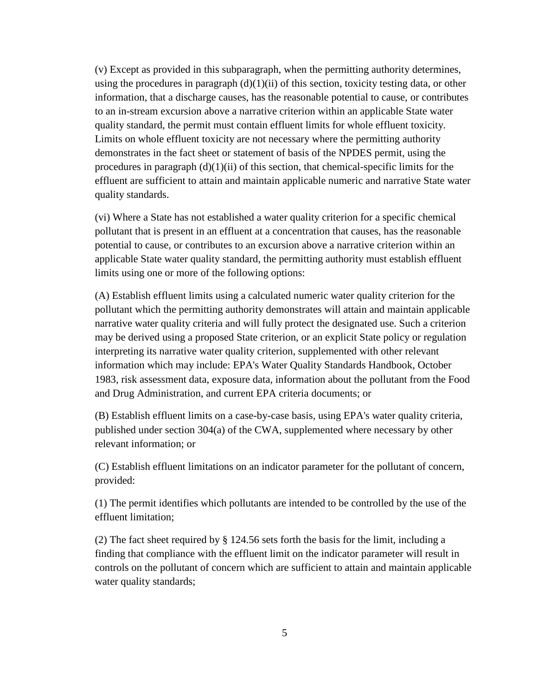(v) Except as provided in this subparagraph, when the permitting authority determines, using the procedures in paragraph  $(d)(1)(ii)$  of this section, toxicity testing data, or other information, that a discharge causes, has the reasonable potential to cause, or contributes to an in-stream excursion above a narrative criterion within an applicable State water quality standard, the permit must contain effluent limits for whole effluent toxicity. Limits on whole effluent toxicity are not necessary where the permitting authority demonstrates in the fact sheet or statement of basis of the NPDES permit, using the procedures in paragraph  $(d)(1)(ii)$  of this section, that chemical-specific limits for the effluent are sufficient to attain and maintain applicable numeric and narrative State water quality standards.

(vi) Where a State has not established a water quality criterion for a specific chemical pollutant that is present in an effluent at a concentration that causes, has the reasonable potential to cause, or contributes to an excursion above a narrative criterion within an applicable State water quality standard, the permitting authority must establish effluent limits using one or more of the following options:

(A) Establish effluent limits using a calculated numeric water quality criterion for the pollutant which the permitting authority demonstrates will attain and maintain applicable narrative water quality criteria and will fully protect the designated use. Such a criterion may be derived using a proposed State criterion, or an explicit State policy or regulation interpreting its narrative water quality criterion, supplemented with other relevant information which may include: EPA's Water Quality Standards Handbook, October 1983, risk assessment data, exposure data, information about the pollutant from the Food and Drug Administration, and current EPA criteria documents; or

(B) Establish effluent limits on a case-by-case basis, using EPA's water quality criteria, published under section 304(a) of the CWA, supplemented where necessary by other relevant information; or

(C) Establish effluent limitations on an indicator parameter for the pollutant of concern, provided:

(1) The permit identifies which pollutants are intended to be controlled by the use of the effluent limitation;

(2) The fact sheet required by § 124.56 sets forth the basis for the limit, including a finding that compliance with the effluent limit on the indicator parameter will result in controls on the pollutant of concern which are sufficient to attain and maintain applicable water quality standards;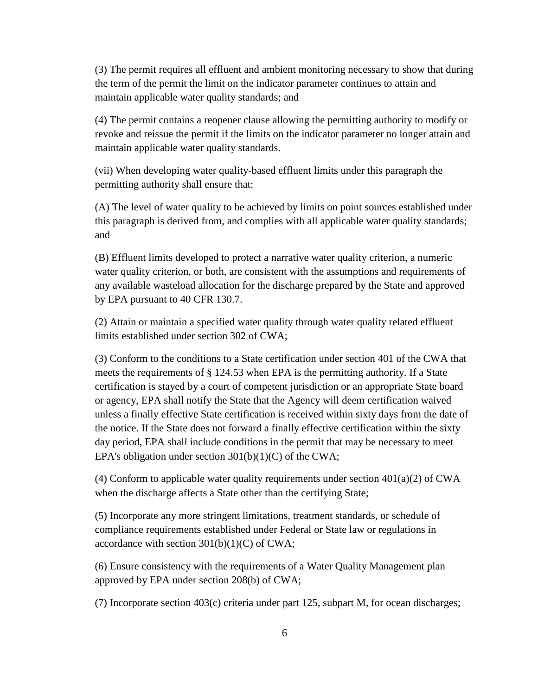(3) The permit requires all effluent and ambient monitoring necessary to show that during the term of the permit the limit on the indicator parameter continues to attain and maintain applicable water quality standards; and

(4) The permit contains a reopener clause allowing the permitting authority to modify or revoke and reissue the permit if the limits on the indicator parameter no longer attain and maintain applicable water quality standards.

(vii) When developing water quality-based effluent limits under this paragraph the permitting authority shall ensure that:

(A) The level of water quality to be achieved by limits on point sources established under this paragraph is derived from, and complies with all applicable water quality standards; and

(B) Effluent limits developed to protect a narrative water quality criterion, a numeric water quality criterion, or both, are consistent with the assumptions and requirements of any available wasteload allocation for the discharge prepared by the State and approved by EPA pursuant to 40 CFR 130.7.

(2) Attain or maintain a specified water quality through water quality related effluent limits established under section 302 of CWA;

(3) Conform to the conditions to a State certification under section 401 of the CWA that meets the requirements of § 124.53 when EPA is the permitting authority. If a State certification is stayed by a court of competent jurisdiction or an appropriate State board or agency, EPA shall notify the State that the Agency will deem certification waived unless a finally effective State certification is received within sixty days from the date of the notice. If the State does not forward a finally effective certification within the sixty day period, EPA shall include conditions in the permit that may be necessary to meet EPA's obligation under section  $301(b)(1)(C)$  of the CWA;

(4) Conform to applicable water quality requirements under section  $401(a)(2)$  of CWA when the discharge affects a State other than the certifying State;

(5) Incorporate any more stringent limitations, treatment standards, or schedule of compliance requirements established under Federal or State law or regulations in accordance with section  $301(b)(1)(C)$  of CWA;

(6) Ensure consistency with the requirements of a Water Quality Management plan approved by EPA under section 208(b) of CWA;

(7) Incorporate section 403(c) criteria under part 125, subpart M, for ocean discharges;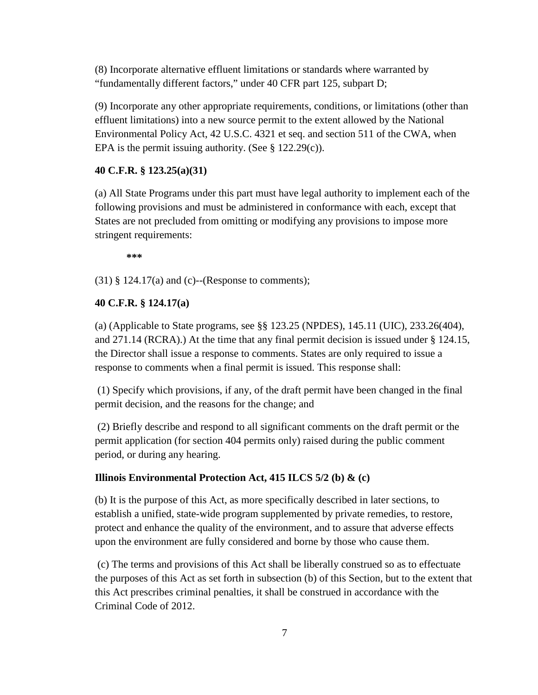(8) Incorporate alternative effluent limitations or standards where warranted by "fundamentally different factors," under 40 CFR part 125, subpart D;

(9) Incorporate any other appropriate requirements, conditions, or limitations (other than effluent limitations) into a new source permit to the extent allowed by the National Environmental Policy Act, 42 U.S.C. 4321 et seq. and section 511 of the CWA, when EPA is the permit issuing authority. (See  $\S$  122.29(c)).

#### **40 C.F.R. § 123.25(a)(31)**

(a) All State Programs under this part must have legal authority to implement each of the following provisions and must be administered in conformance with each, except that States are not precluded from omitting or modifying any provisions to impose more stringent requirements:

 **\*\*\*** 

 $(31)$  § 124.17(a) and (c)--(Response to comments);

## **40 C.F.R. § 124.17(a)**

(a) (Applicable to State programs, see §§ 123.25 (NPDES), 145.11 (UIC), 233.26(404), and 271.14 (RCRA).) At the time that any final permit decision is issued under § 124.15, the Director shall issue a response to comments. States are only required to issue a response to comments when a final permit is issued. This response shall:

 (1) Specify which provisions, if any, of the draft permit have been changed in the final permit decision, and the reasons for the change; and

 (2) Briefly describe and respond to all significant comments on the draft permit or the permit application (for section 404 permits only) raised during the public comment period, or during any hearing.

### **Illinois Environmental Protection Act, 415 ILCS 5/2 (b) & (c)**

(b) It is the purpose of this Act, as more specifically described in later sections, to establish a unified, state-wide program supplemented by private remedies, to restore, protect and enhance the quality of the environment, and to assure that adverse effects upon the environment are fully considered and borne by those who cause them.

 (c) The terms and provisions of this Act shall be liberally construed so as to effectuate the purposes of this Act as set forth in subsection (b) of this Section, but to the extent that this Act prescribes criminal penalties, it shall be construed in accordance with the Criminal Code of 2012.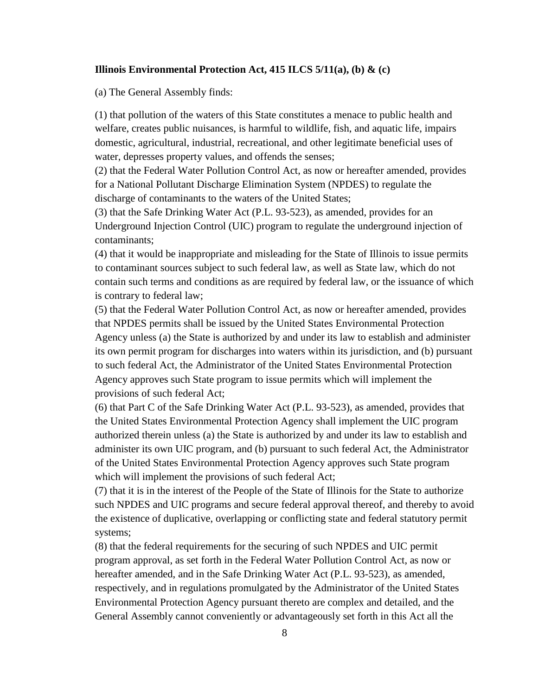#### **Illinois Environmental Protection Act, 415 ILCS 5/11(a), (b) & (c)**

(a) The General Assembly finds:

(1) that pollution of the waters of this State constitutes a menace to public health and welfare, creates public nuisances, is harmful to wildlife, fish, and aquatic life, impairs domestic, agricultural, industrial, recreational, and other legitimate beneficial uses of water, depresses property values, and offends the senses;

(2) that the Federal Water Pollution Control Act, as now or hereafter amended, provides for a National Pollutant Discharge Elimination System (NPDES) to regulate the discharge of contaminants to the waters of the United States;

(3) that the Safe Drinking Water Act (P.L. 93-523), as amended, provides for an Underground Injection Control (UIC) program to regulate the underground injection of contaminants;

(4) that it would be inappropriate and misleading for the State of Illinois to issue permits to contaminant sources subject to such federal law, as well as State law, which do not contain such terms and conditions as are required by federal law, or the issuance of which is contrary to federal law;

(5) that the Federal Water Pollution Control Act, as now or hereafter amended, provides that NPDES permits shall be issued by the United States Environmental Protection Agency unless (a) the State is authorized by and under its law to establish and administer its own permit program for discharges into waters within its jurisdiction, and (b) pursuant to such federal Act, the Administrator of the United States Environmental Protection Agency approves such State program to issue permits which will implement the provisions of such federal Act;

(6) that Part C of the Safe Drinking Water Act (P.L. 93-523), as amended, provides that the United States Environmental Protection Agency shall implement the UIC program authorized therein unless (a) the State is authorized by and under its law to establish and administer its own UIC program, and (b) pursuant to such federal Act, the Administrator of the United States Environmental Protection Agency approves such State program which will implement the provisions of such federal Act;

(7) that it is in the interest of the People of the State of Illinois for the State to authorize such NPDES and UIC programs and secure federal approval thereof, and thereby to avoid the existence of duplicative, overlapping or conflicting state and federal statutory permit systems;

(8) that the federal requirements for the securing of such NPDES and UIC permit program approval, as set forth in the Federal Water Pollution Control Act, as now or hereafter amended, and in the Safe Drinking Water Act (P.L. 93-523), as amended, respectively, and in regulations promulgated by the Administrator of the United States Environmental Protection Agency pursuant thereto are complex and detailed, and the General Assembly cannot conveniently or advantageously set forth in this Act all the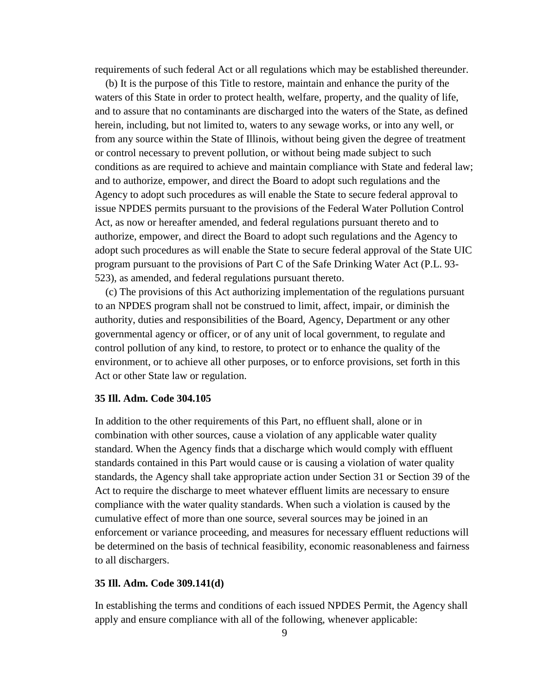requirements of such federal Act or all regulations which may be established thereunder.

 (b) It is the purpose of this Title to restore, maintain and enhance the purity of the waters of this State in order to protect health, welfare, property, and the quality of life, and to assure that no contaminants are discharged into the waters of the State, as defined herein, including, but not limited to, waters to any sewage works, or into any well, or from any source within the State of Illinois, without being given the degree of treatment or control necessary to prevent pollution, or without being made subject to such conditions as are required to achieve and maintain compliance with State and federal law; and to authorize, empower, and direct the Board to adopt such regulations and the Agency to adopt such procedures as will enable the State to secure federal approval to issue NPDES permits pursuant to the provisions of the Federal Water Pollution Control Act, as now or hereafter amended, and federal regulations pursuant thereto and to authorize, empower, and direct the Board to adopt such regulations and the Agency to adopt such procedures as will enable the State to secure federal approval of the State UIC program pursuant to the provisions of Part C of the Safe Drinking Water Act (P.L. 93- 523), as amended, and federal regulations pursuant thereto.

 (c) The provisions of this Act authorizing implementation of the regulations pursuant to an NPDES program shall not be construed to limit, affect, impair, or diminish the authority, duties and responsibilities of the Board, Agency, Department or any other governmental agency or officer, or of any unit of local government, to regulate and control pollution of any kind, to restore, to protect or to enhance the quality of the environment, or to achieve all other purposes, or to enforce provisions, set forth in this Act or other State law or regulation.

### **35 Ill. Adm. Code 304.105**

In addition to the other requirements of this Part, no effluent shall, alone or in combination with other sources, cause a violation of any applicable water quality standard. When the Agency finds that a discharge which would comply with effluent standards contained in this Part would cause or is causing a violation of water quality standards, the Agency shall take appropriate action under Section 31 or Section 39 of the Act to require the discharge to meet whatever effluent limits are necessary to ensure compliance with the water quality standards. When such a violation is caused by the cumulative effect of more than one source, several sources may be joined in an enforcement or variance proceeding, and measures for necessary effluent reductions will be determined on the basis of technical feasibility, economic reasonableness and fairness to all dischargers.

### **35 Ill. Adm. Code 309.141(d)**

In establishing the terms and conditions of each issued NPDES Permit, the Agency shall apply and ensure compliance with all of the following, whenever applicable: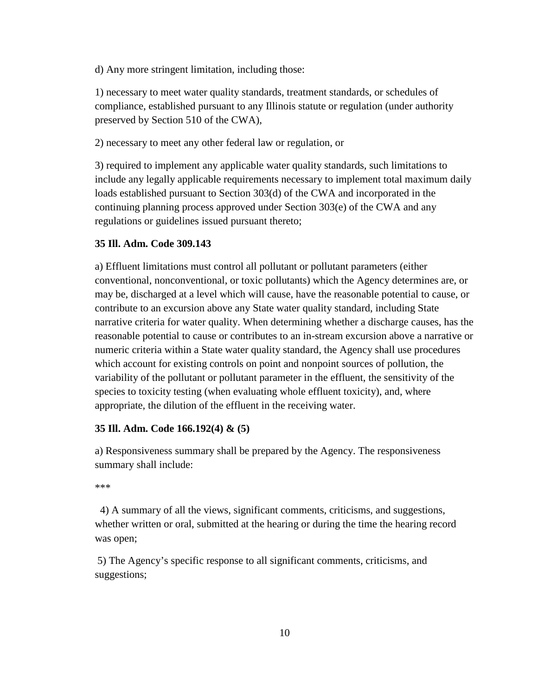d) Any more stringent limitation, including those:

1) necessary to meet water quality standards, treatment standards, or schedules of compliance, established pursuant to any Illinois statute or regulation (under authority preserved by Section 510 of the CWA),

2) necessary to meet any other federal law or regulation, or

3) required to implement any applicable water quality standards, such limitations to include any legally applicable requirements necessary to implement total maximum daily loads established pursuant to Section 303(d) of the CWA and incorporated in the continuing planning process approved under Section 303(e) of the CWA and any regulations or guidelines issued pursuant thereto;

### **35 Ill. Adm. Code 309.143**

a) Effluent limitations must control all pollutant or pollutant parameters (either conventional, nonconventional, or toxic pollutants) which the Agency determines are, or may be, discharged at a level which will cause, have the reasonable potential to cause, or contribute to an excursion above any State water quality standard, including State narrative criteria for water quality. When determining whether a discharge causes, has the reasonable potential to cause or contributes to an in-stream excursion above a narrative or numeric criteria within a State water quality standard, the Agency shall use procedures which account for existing controls on point and nonpoint sources of pollution, the variability of the pollutant or pollutant parameter in the effluent, the sensitivity of the species to toxicity testing (when evaluating whole effluent toxicity), and, where appropriate, the dilution of the effluent in the receiving water.

#### **35 Ill. Adm. Code 166.192(4) & (5)**

a) Responsiveness summary shall be prepared by the Agency. The responsiveness summary shall include:

```
***
```
 4) A summary of all the views, significant comments, criticisms, and suggestions, whether written or oral, submitted at the hearing or during the time the hearing record was open;

5) The Agency's specific response to all significant comments, criticisms, and suggestions;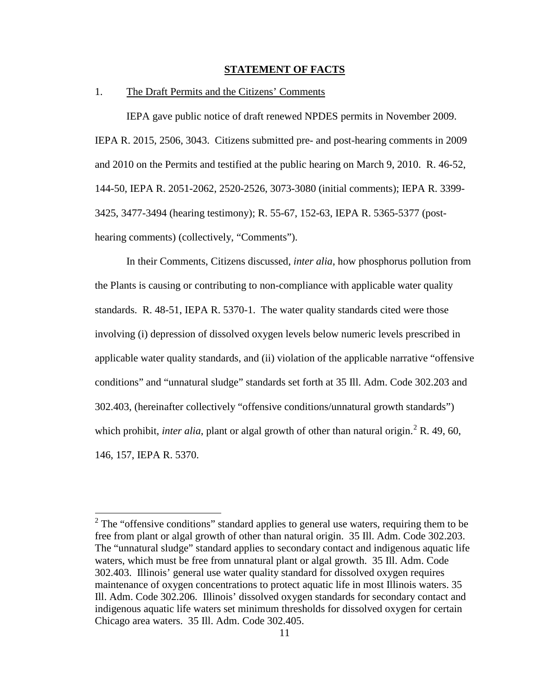### **STATEMENT OF FACTS**

## 1. The Draft Permits and the Citizens' Comments

 IEPA gave public notice of draft renewed NPDES permits in November 2009. IEPA R. 2015, 2506, 3043. Citizens submitted pre- and post-hearing comments in 2009 and 2010 on the Permits and testified at the public hearing on March 9, 2010. R. 46-52, 144-50, IEPA R. 2051-2062, 2520-2526, 3073-3080 (initial comments); IEPA R. 3399- 3425, 3477-3494 (hearing testimony); R. 55-67, 152-63, IEPA R. 5365-5377 (posthearing comments) (collectively, "Comments").

In their Comments, Citizens discussed, *inter alia*, how phosphorus pollution from the Plants is causing or contributing to non-compliance with applicable water quality standards. R. 48-51, IEPA R. 5370-1. The water quality standards cited were those involving (i) depression of dissolved oxygen levels below numeric levels prescribed in applicable water quality standards, and (ii) violation of the applicable narrative "offensive conditions" and "unnatural sludge" standards set forth at 35 Ill. Adm. Code 302.203 and 302.403, (hereinafter collectively "offensive conditions/unnatural growth standards") which prohibit, *inter alia*, plant or algal growth of other than natural origin.<sup>2</sup> R. 49, 60, 146, 157, IEPA R. 5370.

<sup>&</sup>lt;sup>2</sup> The "offensive conditions" standard applies to general use waters, requiring them to be free from plant or algal growth of other than natural origin. 35 Ill. Adm. Code 302.203. The "unnatural sludge" standard applies to secondary contact and indigenous aquatic life waters, which must be free from unnatural plant or algal growth. 35 Ill. Adm. Code 302.403. Illinois' general use water quality standard for dissolved oxygen requires maintenance of oxygen concentrations to protect aquatic life in most Illinois waters. 35 Ill. Adm. Code 302.206. Illinois' dissolved oxygen standards for secondary contact and indigenous aquatic life waters set minimum thresholds for dissolved oxygen for certain Chicago area waters. 35 Ill. Adm. Code 302.405.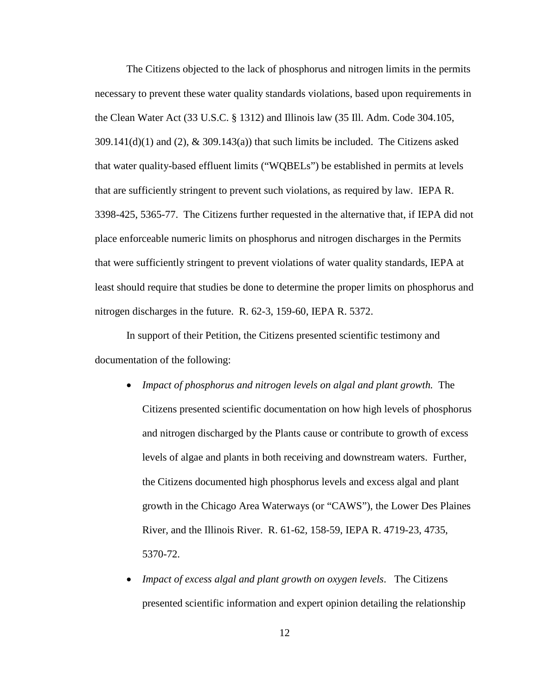The Citizens objected to the lack of phosphorus and nitrogen limits in the permits necessary to prevent these water quality standards violations, based upon requirements in the Clean Water Act (33 U.S.C. § 1312) and Illinois law (35 Ill. Adm. Code 304.105,  $309.141(d)(1)$  and  $(2)$ ,  $\&$   $309.143(a)$ ) that such limits be included. The Citizens asked that water quality-based effluent limits ("WQBELs") be established in permits at levels that are sufficiently stringent to prevent such violations, as required by law. IEPA R. 3398-425, 5365-77. The Citizens further requested in the alternative that, if IEPA did not place enforceable numeric limits on phosphorus and nitrogen discharges in the Permits that were sufficiently stringent to prevent violations of water quality standards, IEPA at least should require that studies be done to determine the proper limits on phosphorus and nitrogen discharges in the future. R. 62-3, 159-60, IEPA R. 5372.

In support of their Petition, the Citizens presented scientific testimony and documentation of the following:

- *Impact of phosphorus and nitrogen levels on algal and plant growth.* The Citizens presented scientific documentation on how high levels of phosphorus and nitrogen discharged by the Plants cause or contribute to growth of excess levels of algae and plants in both receiving and downstream waters. Further, the Citizens documented high phosphorus levels and excess algal and plant growth in the Chicago Area Waterways (or "CAWS"), the Lower Des Plaines River, and the Illinois River. R. 61-62, 158-59, IEPA R. 4719-23, 4735, 5370-72.
- *Impact of excess algal and plant growth on oxygen levels*. The Citizens presented scientific information and expert opinion detailing the relationship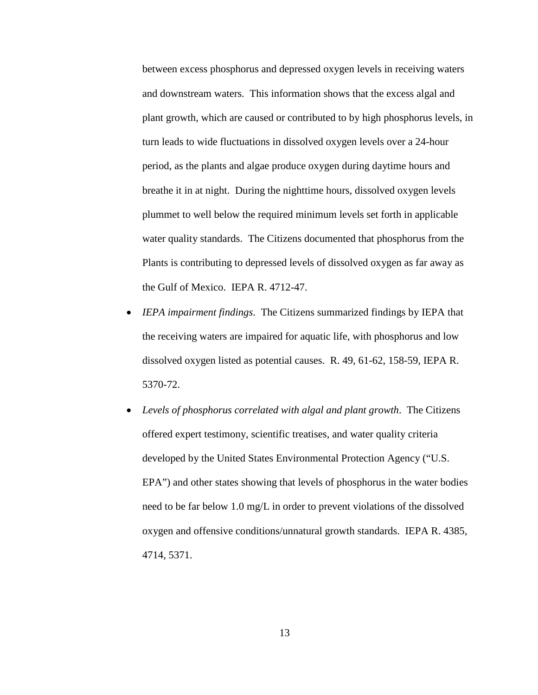between excess phosphorus and depressed oxygen levels in receiving waters and downstream waters. This information shows that the excess algal and plant growth, which are caused or contributed to by high phosphorus levels, in turn leads to wide fluctuations in dissolved oxygen levels over a 24-hour period, as the plants and algae produce oxygen during daytime hours and breathe it in at night. During the nighttime hours, dissolved oxygen levels plummet to well below the required minimum levels set forth in applicable water quality standards. The Citizens documented that phosphorus from the Plants is contributing to depressed levels of dissolved oxygen as far away as the Gulf of Mexico. IEPA R. 4712-47.

- *IEPA impairment findings*. The Citizens summarized findings by IEPA that the receiving waters are impaired for aquatic life, with phosphorus and low dissolved oxygen listed as potential causes. R. 49, 61-62, 158-59, IEPA R. 5370-72.
- *Levels of phosphorus correlated with algal and plant growth*. The Citizens offered expert testimony, scientific treatises, and water quality criteria developed by the United States Environmental Protection Agency ("U.S. EPA") and other states showing that levels of phosphorus in the water bodies need to be far below 1.0 mg/L in order to prevent violations of the dissolved oxygen and offensive conditions/unnatural growth standards. IEPA R. 4385, 4714, 5371.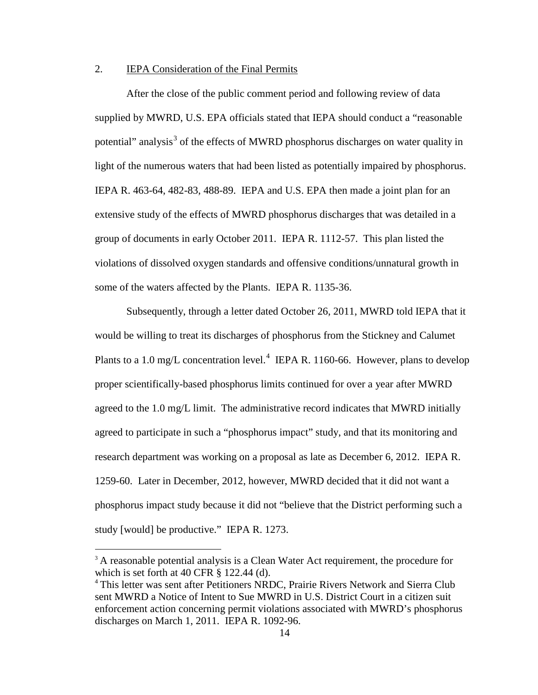## 2. IEPA Consideration of the Final Permits

After the close of the public comment period and following review of data supplied by MWRD, U.S. EPA officials stated that IEPA should conduct a "reasonable potential" analysis<sup>3</sup> of the effects of MWRD phosphorus discharges on water quality in light of the numerous waters that had been listed as potentially impaired by phosphorus. IEPA R. 463-64, 482-83, 488-89. IEPA and U.S. EPA then made a joint plan for an extensive study of the effects of MWRD phosphorus discharges that was detailed in a group of documents in early October 2011. IEPA R. 1112-57. This plan listed the violations of dissolved oxygen standards and offensive conditions/unnatural growth in some of the waters affected by the Plants. IEPA R. 1135-36.

Subsequently, through a letter dated October 26, 2011, MWRD told IEPA that it would be willing to treat its discharges of phosphorus from the Stickney and Calumet Plants to a 1.0 mg/L concentration level. $4$  IEPA R. 1160-66. However, plans to develop proper scientifically-based phosphorus limits continued for over a year after MWRD agreed to the 1.0 mg/L limit. The administrative record indicates that MWRD initially agreed to participate in such a "phosphorus impact" study, and that its monitoring and research department was working on a proposal as late as December 6, 2012. IEPA R. 1259-60. Later in December, 2012, however, MWRD decided that it did not want a phosphorus impact study because it did not "believe that the District performing such a study [would] be productive." IEPA R. 1273.

<sup>&</sup>lt;sup>3</sup> A reasonable potential analysis is a Clean Water Act requirement, the procedure for which is set forth at 40 CFR § 122.44 (d).

<sup>&</sup>lt;sup>4</sup> This letter was sent after Petitioners NRDC, Prairie Rivers Network and Sierra Club sent MWRD a Notice of Intent to Sue MWRD in U.S. District Court in a citizen suit enforcement action concerning permit violations associated with MWRD's phosphorus discharges on March 1, 2011. IEPA R. 1092-96.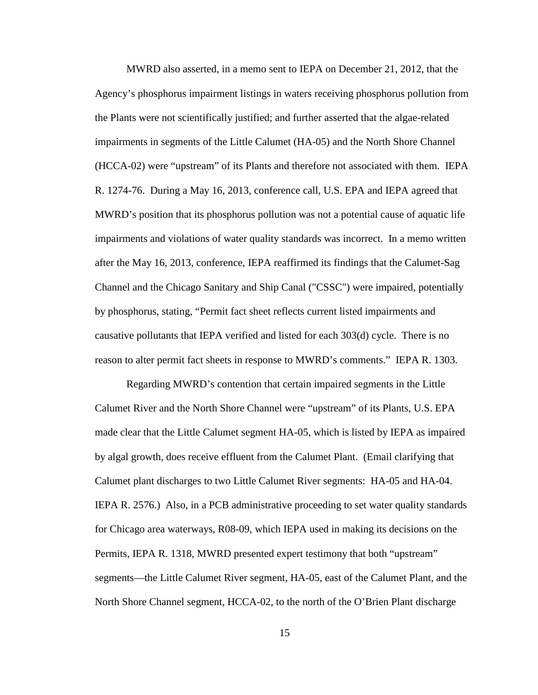MWRD also asserted, in a memo sent to IEPA on December 21, 2012, that the Agency's phosphorus impairment listings in waters receiving phosphorus pollution from the Plants were not scientifically justified; and further asserted that the algae-related impairments in segments of the Little Calumet (HA-05) and the North Shore Channel (HCCA-02) were "upstream" of its Plants and therefore not associated with them. IEPA R. 1274-76. During a May 16, 2013, conference call, U.S. EPA and IEPA agreed that MWRD's position that its phosphorus pollution was not a potential cause of aquatic life impairments and violations of water quality standards was incorrect. In a memo written after the May 16, 2013, conference, IEPA reaffirmed its findings that the Calumet-Sag Channel and the Chicago Sanitary and Ship Canal ("CSSC") were impaired, potentially by phosphorus, stating, "Permit fact sheet reflects current listed impairments and causative pollutants that IEPA verified and listed for each 303(d) cycle. There is no reason to alter permit fact sheets in response to MWRD's comments." IEPA R. 1303.

Regarding MWRD's contention that certain impaired segments in the Little Calumet River and the North Shore Channel were "upstream" of its Plants, U.S. EPA made clear that the Little Calumet segment HA-05, which is listed by IEPA as impaired by algal growth, does receive effluent from the Calumet Plant. (Email clarifying that Calumet plant discharges to two Little Calumet River segments: HA-05 and HA-04. IEPA R. 2576.) Also, in a PCB administrative proceeding to set water quality standards for Chicago area waterways, R08-09, which IEPA used in making its decisions on the Permits, IEPA R. 1318, MWRD presented expert testimony that both "upstream" segments—the Little Calumet River segment, HA-05, east of the Calumet Plant, and the North Shore Channel segment, HCCA-02, to the north of the O'Brien Plant discharge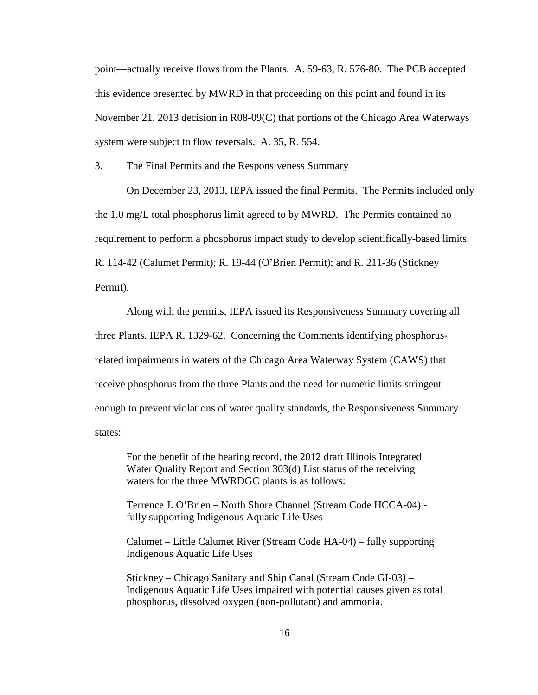point—actually receive flows from the Plants. A. 59-63, R. 576-80. The PCB accepted this evidence presented by MWRD in that proceeding on this point and found in its November 21, 2013 decision in R08-09(C) that portions of the Chicago Area Waterways system were subject to flow reversals. A. 35, R. 554.

3. The Final Permits and the Responsiveness Summary

On December 23, 2013, IEPA issued the final Permits. The Permits included only the 1.0 mg/L total phosphorus limit agreed to by MWRD. The Permits contained no requirement to perform a phosphorus impact study to develop scientifically-based limits. R. 114-42 (Calumet Permit); R. 19-44 (O'Brien Permit); and R. 211-36 (Stickney Permit).

Along with the permits, IEPA issued its Responsiveness Summary covering all three Plants. IEPA R. 1329-62. Concerning the Comments identifying phosphorusrelated impairments in waters of the Chicago Area Waterway System (CAWS) that receive phosphorus from the three Plants and the need for numeric limits stringent enough to prevent violations of water quality standards, the Responsiveness Summary states:

For the benefit of the hearing record, the 2012 draft Illinois Integrated Water Quality Report and Section 303(d) List status of the receiving waters for the three MWRDGC plants is as follows:

Terrence J. O'Brien – North Shore Channel (Stream Code HCCA-04) fully supporting Indigenous Aquatic Life Uses

Calumet – Little Calumet River (Stream Code HA-04) – fully supporting Indigenous Aquatic Life Uses

Stickney – Chicago Sanitary and Ship Canal (Stream Code GI-03) – Indigenous Aquatic Life Uses impaired with potential causes given as total phosphorus, dissolved oxygen (non-pollutant) and ammonia.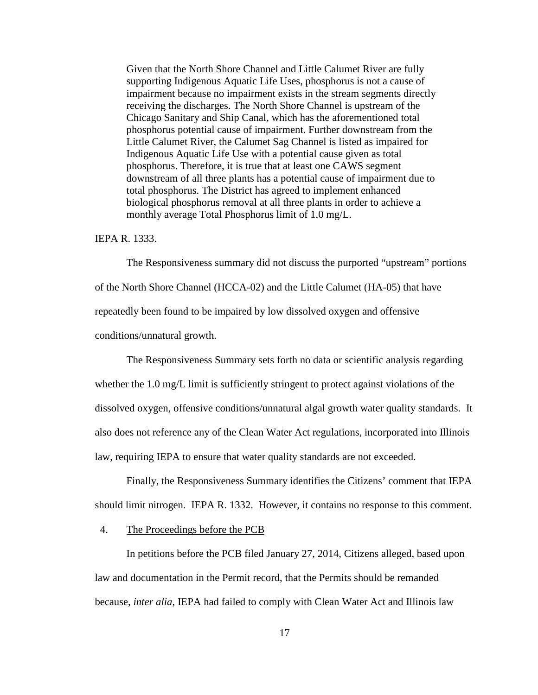Given that the North Shore Channel and Little Calumet River are fully supporting Indigenous Aquatic Life Uses, phosphorus is not a cause of impairment because no impairment exists in the stream segments directly receiving the discharges. The North Shore Channel is upstream of the Chicago Sanitary and Ship Canal, which has the aforementioned total phosphorus potential cause of impairment. Further downstream from the Little Calumet River, the Calumet Sag Channel is listed as impaired for Indigenous Aquatic Life Use with a potential cause given as total phosphorus. Therefore, it is true that at least one CAWS segment downstream of all three plants has a potential cause of impairment due to total phosphorus. The District has agreed to implement enhanced biological phosphorus removal at all three plants in order to achieve a monthly average Total Phosphorus limit of 1.0 mg/L.

#### IEPA R. 1333.

The Responsiveness summary did not discuss the purported "upstream" portions of the North Shore Channel (HCCA-02) and the Little Calumet (HA-05) that have repeatedly been found to be impaired by low dissolved oxygen and offensive conditions/unnatural growth.

The Responsiveness Summary sets forth no data or scientific analysis regarding whether the 1.0 mg/L limit is sufficiently stringent to protect against violations of the dissolved oxygen, offensive conditions/unnatural algal growth water quality standards. It also does not reference any of the Clean Water Act regulations, incorporated into Illinois law, requiring IEPA to ensure that water quality standards are not exceeded.

Finally, the Responsiveness Summary identifies the Citizens' comment that IEPA should limit nitrogen. IEPA R. 1332. However, it contains no response to this comment.

#### 4. The Proceedings before the PCB

In petitions before the PCB filed January 27, 2014, Citizens alleged, based upon law and documentation in the Permit record, that the Permits should be remanded because, *inter alia*, IEPA had failed to comply with Clean Water Act and Illinois law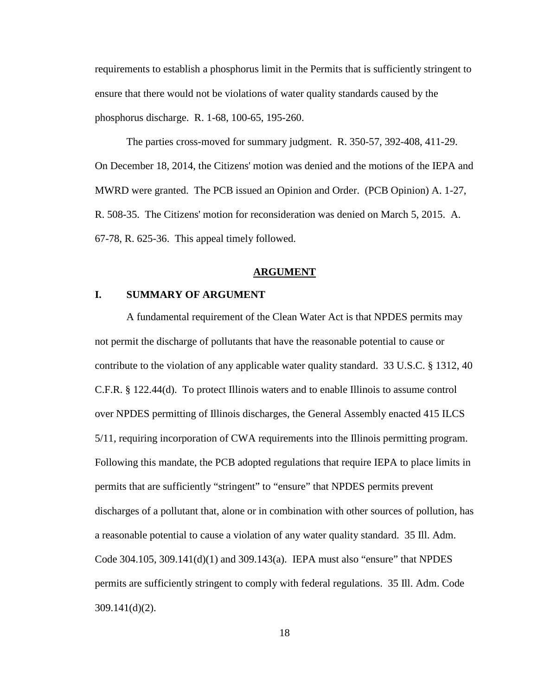requirements to establish a phosphorus limit in the Permits that is sufficiently stringent to ensure that there would not be violations of water quality standards caused by the phosphorus discharge. R. 1-68, 100-65, 195-260.

The parties cross-moved for summary judgment. R. 350-57, 392-408, 411-29. On December 18, 2014, the Citizens' motion was denied and the motions of the IEPA and MWRD were granted. The PCB issued an Opinion and Order. (PCB Opinion) A. 1-27, R. 508-35. The Citizens' motion for reconsideration was denied on March 5, 2015. A. 67-78, R. 625-36. This appeal timely followed.

#### **ARGUMENT**

## **I. SUMMARY OF ARGUMENT**

 A fundamental requirement of the Clean Water Act is that NPDES permits may not permit the discharge of pollutants that have the reasonable potential to cause or contribute to the violation of any applicable water quality standard. 33 U.S.C. § 1312, 40 C.F.R. § 122.44(d). To protect Illinois waters and to enable Illinois to assume control over NPDES permitting of Illinois discharges, the General Assembly enacted 415 ILCS 5/11, requiring incorporation of CWA requirements into the Illinois permitting program. Following this mandate, the PCB adopted regulations that require IEPA to place limits in permits that are sufficiently "stringent" to "ensure" that NPDES permits prevent discharges of a pollutant that, alone or in combination with other sources of pollution, has a reasonable potential to cause a violation of any water quality standard. 35 Ill. Adm. Code 304.105, 309.141(d)(1) and 309.143(a). IEPA must also "ensure" that NPDES permits are sufficiently stringent to comply with federal regulations. 35 Ill. Adm. Code 309.141(d)(2).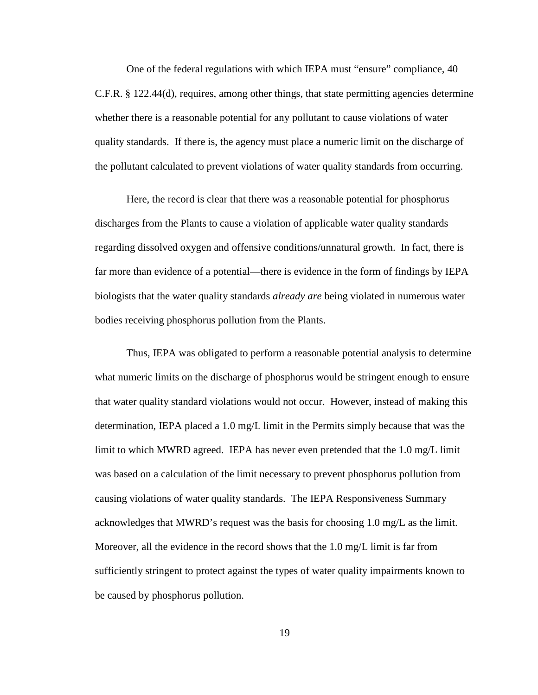One of the federal regulations with which IEPA must "ensure" compliance, 40 C.F.R. § 122.44(d), requires, among other things, that state permitting agencies determine whether there is a reasonable potential for any pollutant to cause violations of water quality standards. If there is, the agency must place a numeric limit on the discharge of the pollutant calculated to prevent violations of water quality standards from occurring.

 Here, the record is clear that there was a reasonable potential for phosphorus discharges from the Plants to cause a violation of applicable water quality standards regarding dissolved oxygen and offensive conditions/unnatural growth. In fact, there is far more than evidence of a potential—there is evidence in the form of findings by IEPA biologists that the water quality standards *already are* being violated in numerous water bodies receiving phosphorus pollution from the Plants.

 Thus, IEPA was obligated to perform a reasonable potential analysis to determine what numeric limits on the discharge of phosphorus would be stringent enough to ensure that water quality standard violations would not occur. However, instead of making this determination, IEPA placed a 1.0 mg/L limit in the Permits simply because that was the limit to which MWRD agreed. IEPA has never even pretended that the 1.0 mg/L limit was based on a calculation of the limit necessary to prevent phosphorus pollution from causing violations of water quality standards. The IEPA Responsiveness Summary acknowledges that MWRD's request was the basis for choosing 1.0 mg/L as the limit. Moreover, all the evidence in the record shows that the 1.0 mg/L limit is far from sufficiently stringent to protect against the types of water quality impairments known to be caused by phosphorus pollution.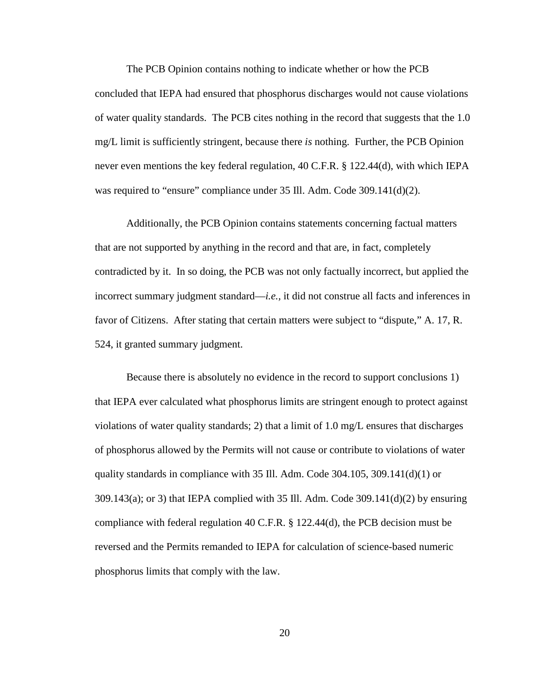The PCB Opinion contains nothing to indicate whether or how the PCB concluded that IEPA had ensured that phosphorus discharges would not cause violations of water quality standards. The PCB cites nothing in the record that suggests that the 1.0 mg/L limit is sufficiently stringent, because there *is* nothing. Further, the PCB Opinion never even mentions the key federal regulation, 40 C.F.R. § 122.44(d), with which IEPA was required to "ensure" compliance under 35 Ill. Adm. Code 309.141(d)(2).

Additionally, the PCB Opinion contains statements concerning factual matters that are not supported by anything in the record and that are, in fact, completely contradicted by it. In so doing, the PCB was not only factually incorrect, but applied the incorrect summary judgment standard—*i.e.,* it did not construe all facts and inferences in favor of Citizens. After stating that certain matters were subject to "dispute," A. 17, R. 524, it granted summary judgment.

Because there is absolutely no evidence in the record to support conclusions 1) that IEPA ever calculated what phosphorus limits are stringent enough to protect against violations of water quality standards; 2) that a limit of 1.0 mg/L ensures that discharges of phosphorus allowed by the Permits will not cause or contribute to violations of water quality standards in compliance with 35 Ill. Adm. Code  $304.105$ ,  $309.141(d)(1)$  or  $309.143(a)$ ; or 3) that IEPA complied with 35 Ill. Adm. Code  $309.141(d)(2)$  by ensuring compliance with federal regulation 40 C.F.R. § 122.44(d), the PCB decision must be reversed and the Permits remanded to IEPA for calculation of science-based numeric phosphorus limits that comply with the law.

20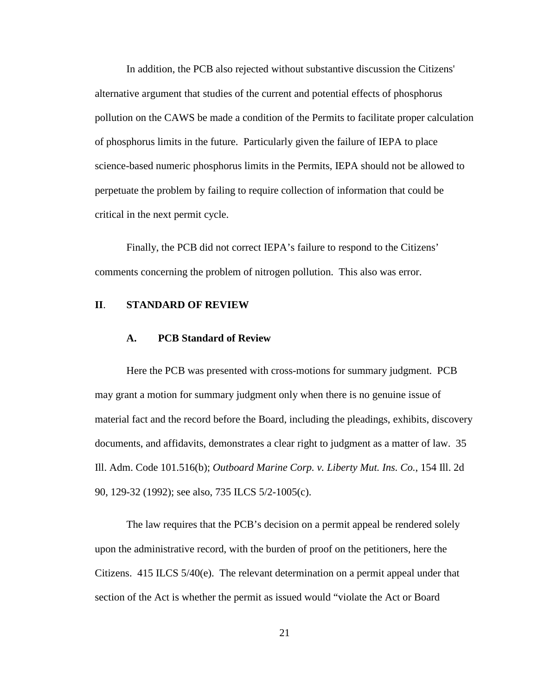In addition, the PCB also rejected without substantive discussion the Citizens' alternative argument that studies of the current and potential effects of phosphorus pollution on the CAWS be made a condition of the Permits to facilitate proper calculation of phosphorus limits in the future. Particularly given the failure of IEPA to place science-based numeric phosphorus limits in the Permits, IEPA should not be allowed to perpetuate the problem by failing to require collection of information that could be critical in the next permit cycle.

Finally, the PCB did not correct IEPA's failure to respond to the Citizens' comments concerning the problem of nitrogen pollution. This also was error.

## **II**. **STANDARD OF REVIEW**

#### **A. PCB Standard of Review**

Here the PCB was presented with cross-motions for summary judgment. PCB may grant a motion for summary judgment only when there is no genuine issue of material fact and the record before the Board, including the pleadings, exhibits, discovery documents, and affidavits, demonstrates a clear right to judgment as a matter of law. 35 Ill. Adm. Code 101.516(b); *Outboard Marine Corp. v. Liberty Mut. Ins. Co.*, 154 Ill. 2d 90, 129-32 (1992); see also, 735 ILCS 5/2-1005(c).

The law requires that the PCB's decision on a permit appeal be rendered solely upon the administrative record, with the burden of proof on the petitioners, here the Citizens. 415 ILCS 5/40(e). The relevant determination on a permit appeal under that section of the Act is whether the permit as issued would "violate the Act or Board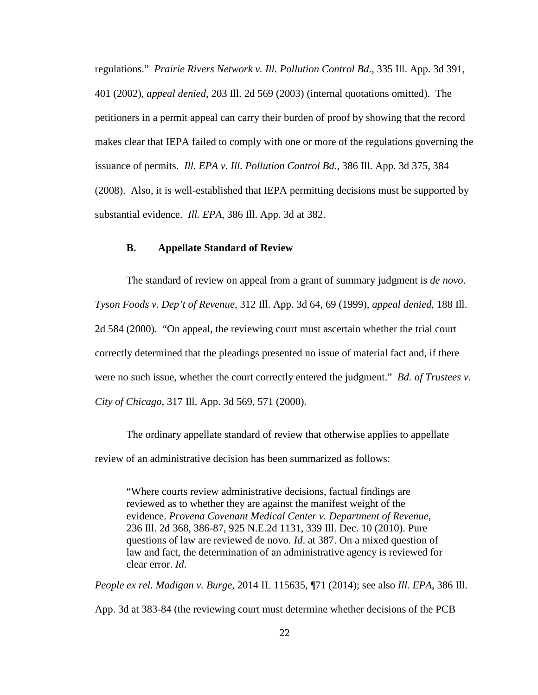regulations." *Prairie Rivers Network v. Ill. Pollution Control Bd*., 335 Ill. App. 3d 391, 401 (2002), *appeal denied*, 203 Ill. 2d 569 (2003) (internal quotations omitted). The petitioners in a permit appeal can carry their burden of proof by showing that the record makes clear that IEPA failed to comply with one or more of the regulations governing the issuance of permits. *Ill. EPA v. Ill. Pollution Control Bd.*, 386 Ill. App. 3d 375, 384 (2008). Also, it is well-established that IEPA permitting decisions must be supported by substantial evidence. *Ill. EPA*, 386 Ill. App. 3d at 382.

### **B. Appellate Standard of Review**

The standard of review on appeal from a grant of summary judgment is *de novo*. *Tyson Foods v. Dep't of Revenue*, 312 Ill. App. 3d 64, 69 (1999), *appeal denied*, 188 Ill. 2d 584 (2000). "On appeal, the reviewing court must ascertain whether the trial court correctly determined that the pleadings presented no issue of material fact and, if there were no such issue, whether the court correctly entered the judgment." *Bd. of Trustees v. City of Chicago*, 317 Ill. App. 3d 569, 571 (2000).

The ordinary appellate standard of review that otherwise applies to appellate review of an administrative decision has been summarized as follows:

"Where courts review administrative decisions, factual findings are reviewed as to whether they are against the manifest weight of the evidence. *Provena Covenant Medical Center v. Department of Revenue*, 236 Ill. 2d 368, 386-87, 925 N.E.2d 1131, 339 Ill. Dec. 10 (2010). Pure questions of law are reviewed de novo. *Id*. at 387. On a mixed question of law and fact, the determination of an administrative agency is reviewed for clear error. *Id*.

*People ex rel. Madigan v. Burge*, 2014 IL 115635, ¶71 (2014); see also *Ill. EPA*, 386 Ill. App. 3d at 383-84 (the reviewing court must determine whether decisions of the PCB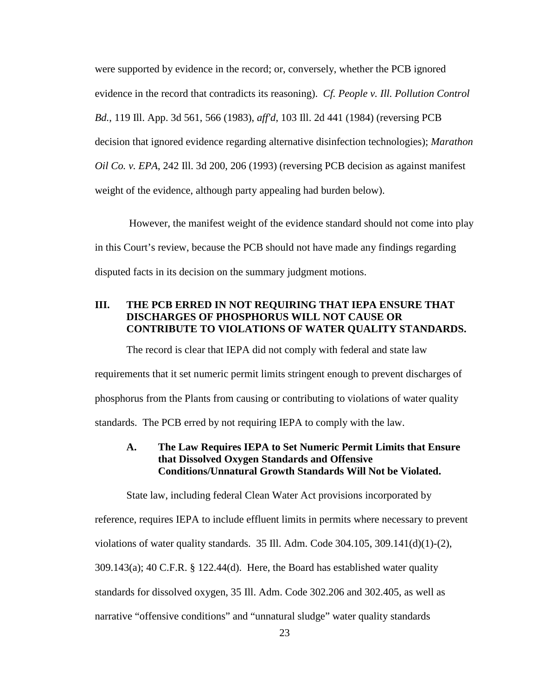were supported by evidence in the record; or, conversely, whether the PCB ignored evidence in the record that contradicts its reasoning). *Cf. People v. Ill. Pollution Control Bd.*, 119 Ill. App. 3d 561, 566 (1983), *aff'd*, 103 Ill. 2d 441 (1984) (reversing PCB decision that ignored evidence regarding alternative disinfection technologies); *Marathon Oil Co. v. EPA*, 242 Ill. 3d 200, 206 (1993) (reversing PCB decision as against manifest weight of the evidence, although party appealing had burden below).

 However, the manifest weight of the evidence standard should not come into play in this Court's review, because the PCB should not have made any findings regarding disputed facts in its decision on the summary judgment motions.

## **III. THE PCB ERRED IN NOT REQUIRING THAT IEPA ENSURE THAT DISCHARGES OF PHOSPHORUS WILL NOT CAUSE OR CONTRIBUTE TO VIOLATIONS OF WATER QUALITY STANDARDS.**

The record is clear that IEPA did not comply with federal and state law requirements that it set numeric permit limits stringent enough to prevent discharges of phosphorus from the Plants from causing or contributing to violations of water quality standards. The PCB erred by not requiring IEPA to comply with the law.

## **A. The Law Requires IEPA to Set Numeric Permit Limits that Ensure that Dissolved Oxygen Standards and Offensive Conditions/Unnatural Growth Standards Will Not be Violated.**

 State law, including federal Clean Water Act provisions incorporated by reference, requires IEPA to include effluent limits in permits where necessary to prevent violations of water quality standards. 35 Ill. Adm. Code 304.105, 309.141(d)(1)-(2), 309.143(a); 40 C.F.R. § 122.44(d). Here, the Board has established water quality standards for dissolved oxygen, 35 Ill. Adm. Code 302.206 and 302.405, as well as narrative "offensive conditions" and "unnatural sludge" water quality standards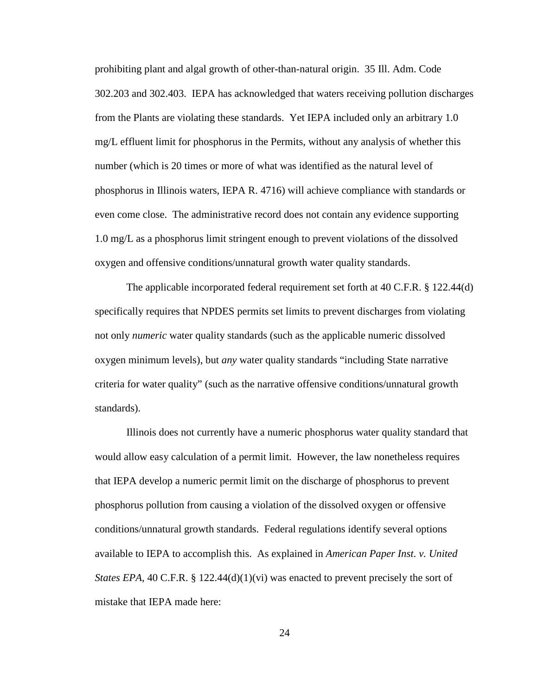prohibiting plant and algal growth of other-than-natural origin. 35 Ill. Adm. Code 302.203 and 302.403. IEPA has acknowledged that waters receiving pollution discharges from the Plants are violating these standards. Yet IEPA included only an arbitrary 1.0 mg/L effluent limit for phosphorus in the Permits, without any analysis of whether this number (which is 20 times or more of what was identified as the natural level of phosphorus in Illinois waters, IEPA R. 4716) will achieve compliance with standards or even come close. The administrative record does not contain any evidence supporting 1.0 mg/L as a phosphorus limit stringent enough to prevent violations of the dissolved oxygen and offensive conditions/unnatural growth water quality standards.

The applicable incorporated federal requirement set forth at 40 C.F.R. § 122.44(d) specifically requires that NPDES permits set limits to prevent discharges from violating not only *numeric* water quality standards (such as the applicable numeric dissolved oxygen minimum levels), but *any* water quality standards "including State narrative criteria for water quality" (such as the narrative offensive conditions/unnatural growth standards).

 Illinois does not currently have a numeric phosphorus water quality standard that would allow easy calculation of a permit limit. However, the law nonetheless requires that IEPA develop a numeric permit limit on the discharge of phosphorus to prevent phosphorus pollution from causing a violation of the dissolved oxygen or offensive conditions/unnatural growth standards. Federal regulations identify several options available to IEPA to accomplish this. As explained in *American Paper Inst. v. United States EPA*, 40 C.F.R. § 122.44(d)(1)(vi) was enacted to prevent precisely the sort of mistake that IEPA made here:

24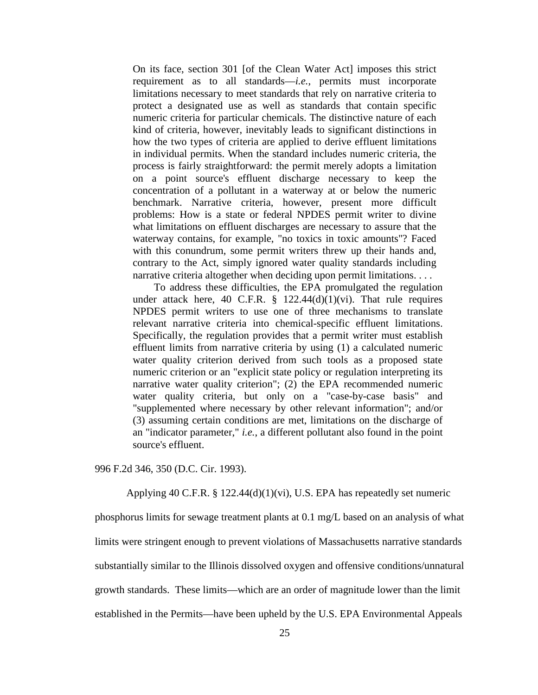On its face, section 301 [of the Clean Water Act] imposes this strict requirement as to all standards—*i.e.*, permits must incorporate limitations necessary to meet standards that rely on narrative criteria to protect a designated use as well as standards that contain specific numeric criteria for particular chemicals. The distinctive nature of each kind of criteria, however, inevitably leads to significant distinctions in how the two types of criteria are applied to derive effluent limitations in individual permits. When the standard includes numeric criteria, the process is fairly straightforward: the permit merely adopts a limitation on a point source's effluent discharge necessary to keep the concentration of a pollutant in a waterway at or below the numeric benchmark. Narrative criteria, however, present more difficult problems: How is a state or federal NPDES permit writer to divine what limitations on effluent discharges are necessary to assure that the waterway contains, for example, "no toxics in toxic amounts"? Faced with this conundrum, some permit writers threw up their hands and, contrary to the Act, simply ignored water quality standards including narrative criteria altogether when deciding upon permit limitations. . . .

 To address these difficulties, the EPA promulgated the regulation under attack here, 40 C.F.R.  $\S$  122.44(d)(1)(vi). That rule requires NPDES permit writers to use one of three mechanisms to translate relevant narrative criteria into chemical-specific effluent limitations. Specifically, the regulation provides that a permit writer must establish effluent limits from narrative criteria by using (1) a calculated numeric water quality criterion derived from such tools as a proposed state numeric criterion or an "explicit state policy or regulation interpreting its narrative water quality criterion"; (2) the EPA recommended numeric water quality criteria, but only on a "case-by-case basis" and "supplemented where necessary by other relevant information"; and/or (3) assuming certain conditions are met, limitations on the discharge of an "indicator parameter," *i.e.*, a different pollutant also found in the point source's effluent.

996 F.2d 346, 350 (D.C. Cir. 1993).

Applying 40 C.F.R. § 122.44(d)(1)(vi), U.S. EPA has repeatedly set numeric

phosphorus limits for sewage treatment plants at 0.1 mg/L based on an analysis of what limits were stringent enough to prevent violations of Massachusetts narrative standards substantially similar to the Illinois dissolved oxygen and offensive conditions/unnatural growth standards. These limits—which are an order of magnitude lower than the limit established in the Permits—have been upheld by the U.S. EPA Environmental Appeals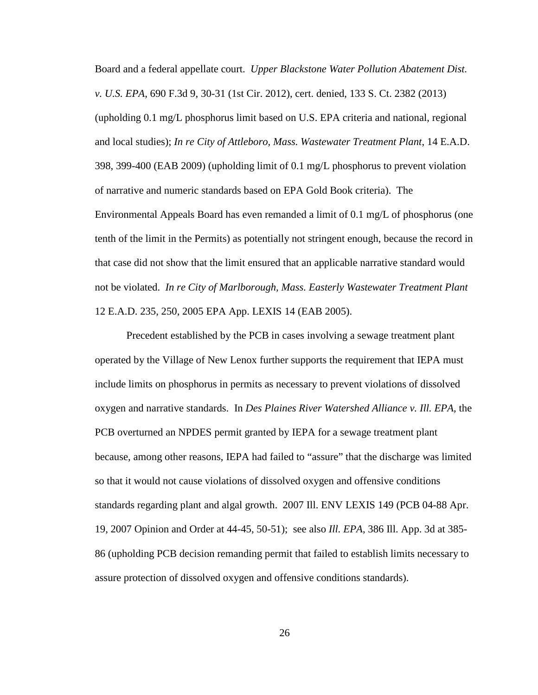Board and a federal appellate court. *Upper Blackstone Water Pollution Abatement Dist. v. U.S. EPA*, 690 F.3d 9, 30-31 (1st Cir. 2012), cert. denied, 133 S. Ct. 2382 (2013) (upholding 0.1 mg/L phosphorus limit based on U.S. EPA criteria and national, regional and local studies); *In re City of Attleboro, Mass. Wastewater Treatment Plant*, 14 E.A.D. 398, 399-400 (EAB 2009) (upholding limit of 0.1 mg/L phosphorus to prevent violation of narrative and numeric standards based on EPA Gold Book criteria). The Environmental Appeals Board has even remanded a limit of 0.1 mg/L of phosphorus (one tenth of the limit in the Permits) as potentially not stringent enough, because the record in that case did not show that the limit ensured that an applicable narrative standard would not be violated. *In re City of Marlborough, Mass. Easterly Wastewater Treatment Plant* 12 E.A.D. 235, 250, 2005 EPA App. LEXIS 14 (EAB 2005).

Precedent established by the PCB in cases involving a sewage treatment plant operated by the Village of New Lenox further supports the requirement that IEPA must include limits on phosphorus in permits as necessary to prevent violations of dissolved oxygen and narrative standards. In *Des Plaines River Watershed Alliance v. Ill. EPA*, the PCB overturned an NPDES permit granted by IEPA for a sewage treatment plant because, among other reasons, IEPA had failed to "assure" that the discharge was limited so that it would not cause violations of dissolved oxygen and offensive conditions standards regarding plant and algal growth. 2007 Ill. ENV LEXIS 149 (PCB 04-88 Apr. 19, 2007 Opinion and Order at 44-45, 50-51); see also *Ill. EPA*, 386 Ill. App. 3d at 385- 86 (upholding PCB decision remanding permit that failed to establish limits necessary to assure protection of dissolved oxygen and offensive conditions standards).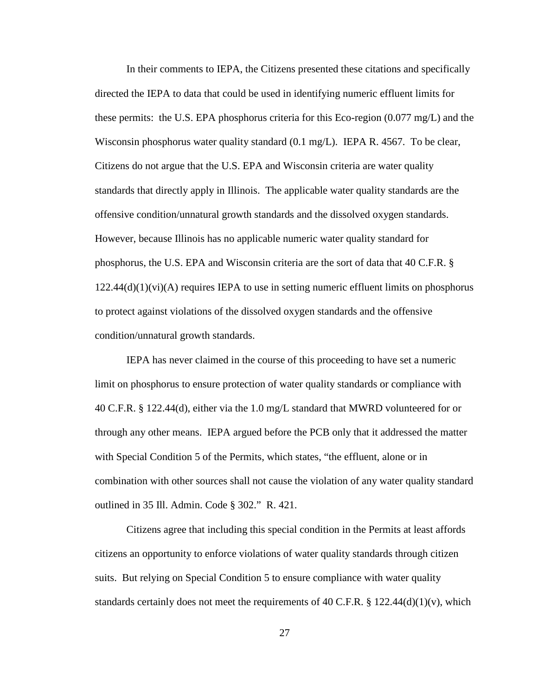In their comments to IEPA, the Citizens presented these citations and specifically directed the IEPA to data that could be used in identifying numeric effluent limits for these permits: the U.S. EPA phosphorus criteria for this Eco-region (0.077 mg/L) and the Wisconsin phosphorus water quality standard  $(0.1 \text{ mg/L})$ . IEPA R. 4567. To be clear, Citizens do not argue that the U.S. EPA and Wisconsin criteria are water quality standards that directly apply in Illinois. The applicable water quality standards are the offensive condition/unnatural growth standards and the dissolved oxygen standards. However, because Illinois has no applicable numeric water quality standard for phosphorus, the U.S. EPA and Wisconsin criteria are the sort of data that 40 C.F.R. §  $122.44(d)(1)(vi)(A)$  requires IEPA to use in setting numeric effluent limits on phosphorus to protect against violations of the dissolved oxygen standards and the offensive condition/unnatural growth standards.

IEPA has never claimed in the course of this proceeding to have set a numeric limit on phosphorus to ensure protection of water quality standards or compliance with 40 C.F.R. § 122.44(d), either via the 1.0 mg/L standard that MWRD volunteered for or through any other means. IEPA argued before the PCB only that it addressed the matter with Special Condition 5 of the Permits, which states, "the effluent, alone or in combination with other sources shall not cause the violation of any water quality standard outlined in 35 Ill. Admin. Code § 302." R. 421.

Citizens agree that including this special condition in the Permits at least affords citizens an opportunity to enforce violations of water quality standards through citizen suits. But relying on Special Condition 5 to ensure compliance with water quality standards certainly does not meet the requirements of 40 C.F.R. § 122.44(d)(1)(v), which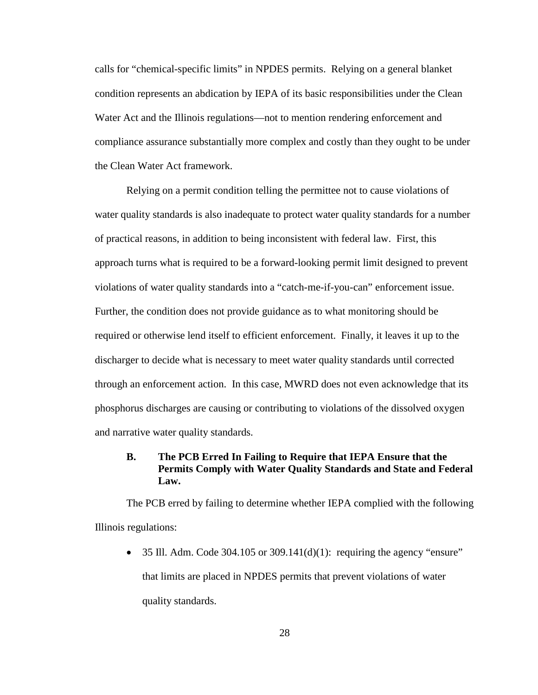calls for "chemical-specific limits" in NPDES permits. Relying on a general blanket condition represents an abdication by IEPA of its basic responsibilities under the Clean Water Act and the Illinois regulations—not to mention rendering enforcement and compliance assurance substantially more complex and costly than they ought to be under the Clean Water Act framework.

Relying on a permit condition telling the permittee not to cause violations of water quality standards is also inadequate to protect water quality standards for a number of practical reasons, in addition to being inconsistent with federal law. First, this approach turns what is required to be a forward-looking permit limit designed to prevent violations of water quality standards into a "catch-me-if-you-can" enforcement issue. Further, the condition does not provide guidance as to what monitoring should be required or otherwise lend itself to efficient enforcement. Finally, it leaves it up to the discharger to decide what is necessary to meet water quality standards until corrected through an enforcement action. In this case, MWRD does not even acknowledge that its phosphorus discharges are causing or contributing to violations of the dissolved oxygen and narrative water quality standards.

## **B. The PCB Erred In Failing to Require that IEPA Ensure that the Permits Comply with Water Quality Standards and State and Federal Law.**

The PCB erred by failing to determine whether IEPA complied with the following Illinois regulations:

• 35 Ill. Adm. Code 304.105 or 309.141(d)(1): requiring the agency "ensure" that limits are placed in NPDES permits that prevent violations of water quality standards.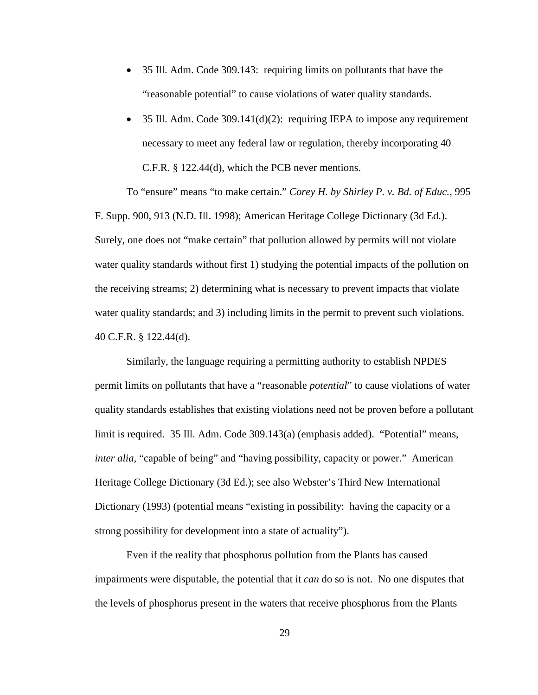- 35 Ill. Adm. Code 309.143: requiring limits on pollutants that have the "reasonable potential" to cause violations of water quality standards.
- 35 Ill. Adm. Code 309.141(d)(2): requiring IEPA to impose any requirement necessary to meet any federal law or regulation, thereby incorporating 40 C.F.R. § 122.44(d), which the PCB never mentions.

To "ensure" means "to make certain." *Corey H. by Shirley P. v. Bd. of Educ.*, 995 F. Supp. 900, 913 (N.D. Ill. 1998); American Heritage College Dictionary (3d Ed.). Surely, one does not "make certain" that pollution allowed by permits will not violate water quality standards without first 1) studying the potential impacts of the pollution on the receiving streams; 2) determining what is necessary to prevent impacts that violate water quality standards; and 3) including limits in the permit to prevent such violations. 40 C.F.R. § 122.44(d).

Similarly, the language requiring a permitting authority to establish NPDES permit limits on pollutants that have a "reasonable *potential*" to cause violations of water quality standards establishes that existing violations need not be proven before a pollutant limit is required. 35 Ill. Adm. Code 309.143(a) (emphasis added). "Potential" means, *inter alia*, "capable of being" and "having possibility, capacity or power." American Heritage College Dictionary (3d Ed.); see also Webster's Third New International Dictionary (1993) (potential means "existing in possibility: having the capacity or a strong possibility for development into a state of actuality").

Even if the reality that phosphorus pollution from the Plants has caused impairments were disputable, the potential that it *can* do so is not. No one disputes that the levels of phosphorus present in the waters that receive phosphorus from the Plants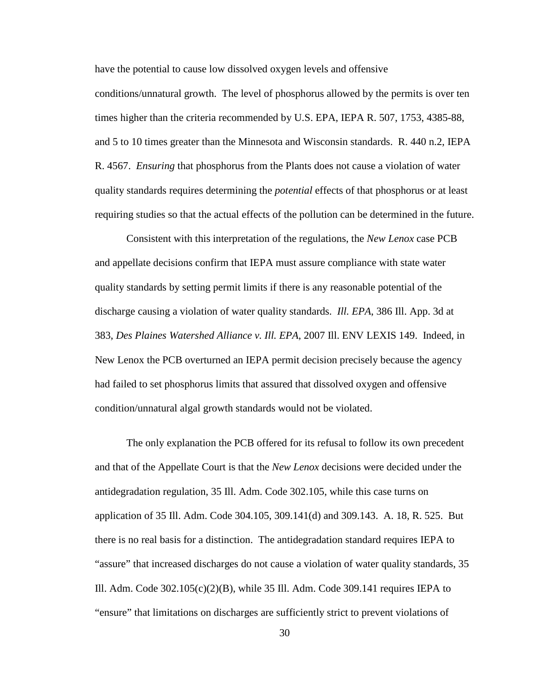have the potential to cause low dissolved oxygen levels and offensive

conditions/unnatural growth. The level of phosphorus allowed by the permits is over ten times higher than the criteria recommended by U.S. EPA, IEPA R. 507, 1753, 4385-88, and 5 to 10 times greater than the Minnesota and Wisconsin standards. R. 440 n.2, IEPA R. 4567. *Ensuring* that phosphorus from the Plants does not cause a violation of water quality standards requires determining the *potential* effects of that phosphorus or at least requiring studies so that the actual effects of the pollution can be determined in the future.

Consistent with this interpretation of the regulations, the *New Lenox* case PCB and appellate decisions confirm that IEPA must assure compliance with state water quality standards by setting permit limits if there is any reasonable potential of the discharge causing a violation of water quality standards. *Ill. EPA*, 386 Ill. App. 3d at 383, *Des Plaines Watershed Alliance v. Ill. EPA*, 2007 Ill. ENV LEXIS 149. Indeed, in New Lenox the PCB overturned an IEPA permit decision precisely because the agency had failed to set phosphorus limits that assured that dissolved oxygen and offensive condition/unnatural algal growth standards would not be violated.

The only explanation the PCB offered for its refusal to follow its own precedent and that of the Appellate Court is that the *New Lenox* decisions were decided under the antidegradation regulation, 35 Ill. Adm. Code 302.105, while this case turns on application of 35 Ill. Adm. Code 304.105, 309.141(d) and 309.143. A. 18, R. 525. But there is no real basis for a distinction. The antidegradation standard requires IEPA to "assure" that increased discharges do not cause a violation of water quality standards, 35 Ill. Adm. Code  $302.105(c)(2)(B)$ , while 35 Ill. Adm. Code 309.141 requires IEPA to "ensure" that limitations on discharges are sufficiently strict to prevent violations of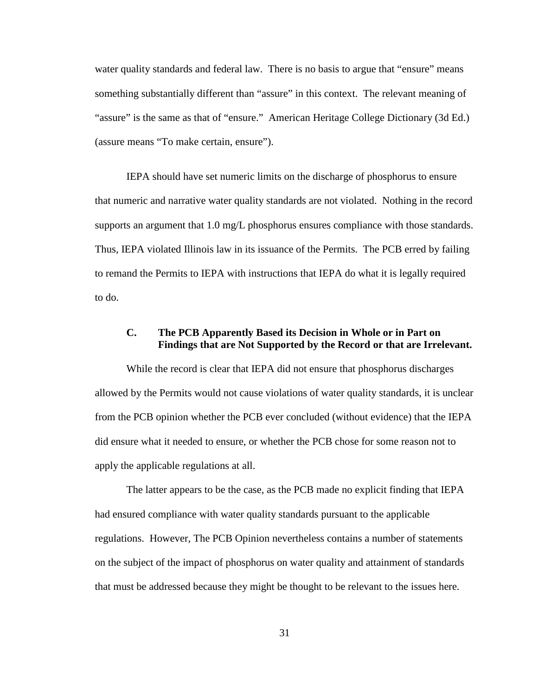water quality standards and federal law. There is no basis to argue that "ensure" means something substantially different than "assure" in this context. The relevant meaning of "assure" is the same as that of "ensure." American Heritage College Dictionary (3d Ed.) (assure means "To make certain, ensure").

 IEPA should have set numeric limits on the discharge of phosphorus to ensure that numeric and narrative water quality standards are not violated. Nothing in the record supports an argument that 1.0 mg/L phosphorus ensures compliance with those standards. Thus, IEPA violated Illinois law in its issuance of the Permits. The PCB erred by failing to remand the Permits to IEPA with instructions that IEPA do what it is legally required to do.

## **C. The PCB Apparently Based its Decision in Whole or in Part on Findings that are Not Supported by the Record or that are Irrelevant.**

 While the record is clear that IEPA did not ensure that phosphorus discharges allowed by the Permits would not cause violations of water quality standards, it is unclear from the PCB opinion whether the PCB ever concluded (without evidence) that the IEPA did ensure what it needed to ensure, or whether the PCB chose for some reason not to apply the applicable regulations at all.

The latter appears to be the case, as the PCB made no explicit finding that IEPA had ensured compliance with water quality standards pursuant to the applicable regulations. However, The PCB Opinion nevertheless contains a number of statements on the subject of the impact of phosphorus on water quality and attainment of standards that must be addressed because they might be thought to be relevant to the issues here.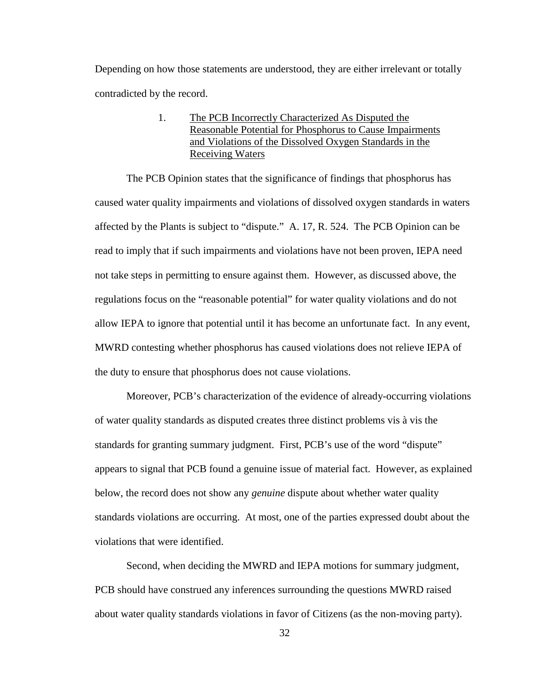Depending on how those statements are understood, they are either irrelevant or totally contradicted by the record.

## 1. The PCB Incorrectly Characterized As Disputed the Reasonable Potential for Phosphorus to Cause Impairments and Violations of the Dissolved Oxygen Standards in the Receiving Waters

The PCB Opinion states that the significance of findings that phosphorus has caused water quality impairments and violations of dissolved oxygen standards in waters affected by the Plants is subject to "dispute." A. 17, R. 524. The PCB Opinion can be read to imply that if such impairments and violations have not been proven, IEPA need not take steps in permitting to ensure against them. However, as discussed above, the regulations focus on the "reasonable potential" for water quality violations and do not allow IEPA to ignore that potential until it has become an unfortunate fact. In any event, MWRD contesting whether phosphorus has caused violations does not relieve IEPA of the duty to ensure that phosphorus does not cause violations.

 Moreover, PCB's characterization of the evidence of already-occurring violations of water quality standards as disputed creates three distinct problems vis à vis the standards for granting summary judgment. First, PCB's use of the word "dispute" appears to signal that PCB found a genuine issue of material fact. However, as explained below, the record does not show any *genuine* dispute about whether water quality standards violations are occurring. At most, one of the parties expressed doubt about the violations that were identified.

Second, when deciding the MWRD and IEPA motions for summary judgment, PCB should have construed any inferences surrounding the questions MWRD raised about water quality standards violations in favor of Citizens (as the non-moving party).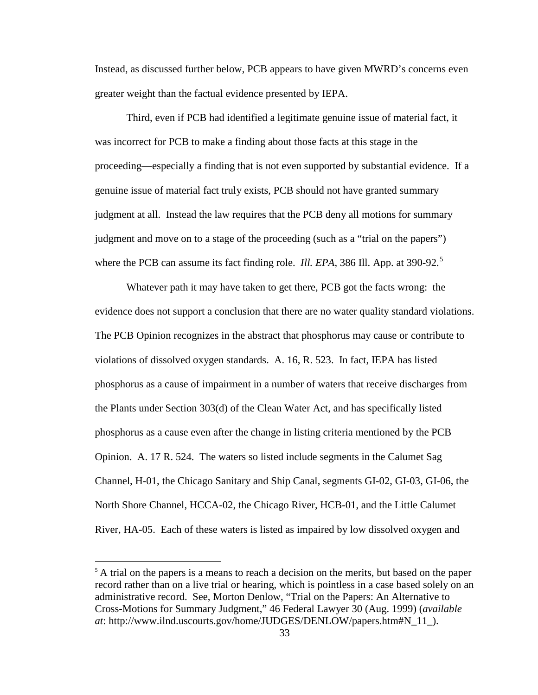Instead, as discussed further below, PCB appears to have given MWRD's concerns even greater weight than the factual evidence presented by IEPA.

Third, even if PCB had identified a legitimate genuine issue of material fact, it was incorrect for PCB to make a finding about those facts at this stage in the proceeding—especially a finding that is not even supported by substantial evidence. If a genuine issue of material fact truly exists, PCB should not have granted summary judgment at all. Instead the law requires that the PCB deny all motions for summary judgment and move on to a stage of the proceeding (such as a "trial on the papers") where the PCB can assume its fact finding role. *Ill. EPA*, 386 Ill. App. at 390-92.<sup>5</sup>

Whatever path it may have taken to get there, PCB got the facts wrong: the evidence does not support a conclusion that there are no water quality standard violations. The PCB Opinion recognizes in the abstract that phosphorus may cause or contribute to violations of dissolved oxygen standards. A. 16, R. 523. In fact, IEPA has listed phosphorus as a cause of impairment in a number of waters that receive discharges from the Plants under Section 303(d) of the Clean Water Act, and has specifically listed phosphorus as a cause even after the change in listing criteria mentioned by the PCB Opinion. A. 17 R. 524. The waters so listed include segments in the Calumet Sag Channel, H-01, the Chicago Sanitary and Ship Canal, segments GI-02, GI-03, GI-06, the North Shore Channel, HCCA-02, the Chicago River, HCB-01, and the Little Calumet River, HA-05. Each of these waters is listed as impaired by low dissolved oxygen and

 $<sup>5</sup>$  A trial on the papers is a means to reach a decision on the merits, but based on the paper</sup> record rather than on a live trial or hearing, which is pointless in a case based solely on an administrative record. See, Morton Denlow, "Trial on the Papers: An Alternative to Cross-Motions for Summary Judgment," 46 Federal Lawyer 30 (Aug. 1999) (*available at*: http://www.ilnd.uscourts.gov/home/JUDGES/DENLOW/papers.htm#N\_11\_).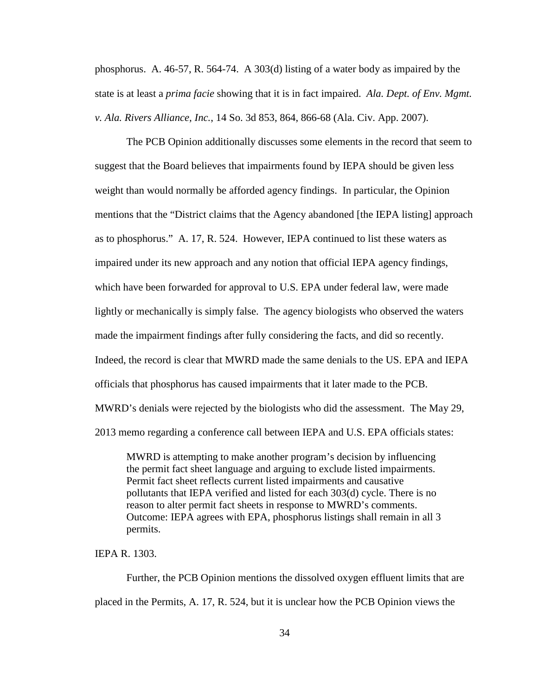phosphorus. A. 46-57, R. 564-74. A 303(d) listing of a water body as impaired by the state is at least a *prima facie* showing that it is in fact impaired. *Ala. Dept. of Env. Mgmt. v. Ala. Rivers Alliance, Inc.*, 14 So. 3d 853, 864, 866-68 (Ala. Civ. App. 2007).

The PCB Opinion additionally discusses some elements in the record that seem to suggest that the Board believes that impairments found by IEPA should be given less weight than would normally be afforded agency findings. In particular, the Opinion mentions that the "District claims that the Agency abandoned [the IEPA listing] approach as to phosphorus." A. 17, R. 524. However, IEPA continued to list these waters as impaired under its new approach and any notion that official IEPA agency findings, which have been forwarded for approval to U.S. EPA under federal law, were made lightly or mechanically is simply false. The agency biologists who observed the waters made the impairment findings after fully considering the facts, and did so recently. Indeed, the record is clear that MWRD made the same denials to the US. EPA and IEPA officials that phosphorus has caused impairments that it later made to the PCB. MWRD's denials were rejected by the biologists who did the assessment. The May 29, 2013 memo regarding a conference call between IEPA and U.S. EPA officials states:

MWRD is attempting to make another program's decision by influencing the permit fact sheet language and arguing to exclude listed impairments. Permit fact sheet reflects current listed impairments and causative pollutants that IEPA verified and listed for each 303(d) cycle. There is no reason to alter permit fact sheets in response to MWRD's comments. Outcome: IEPA agrees with EPA, phosphorus listings shall remain in all 3 permits.

IEPA R. 1303.

 Further, the PCB Opinion mentions the dissolved oxygen effluent limits that are placed in the Permits, A. 17, R. 524, but it is unclear how the PCB Opinion views the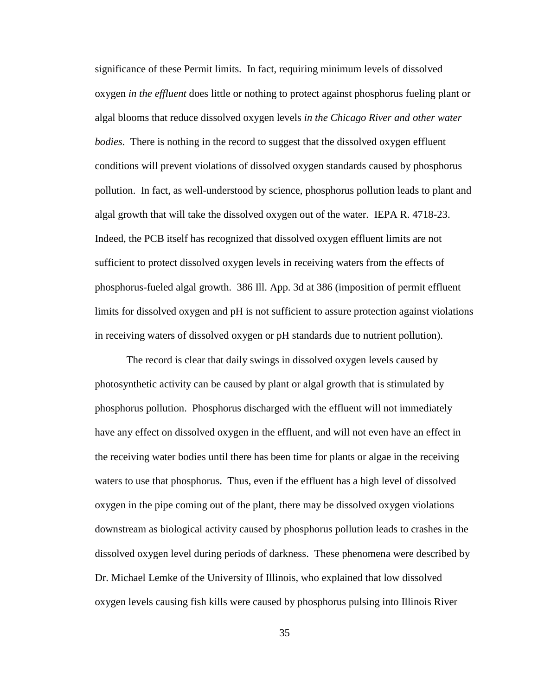significance of these Permit limits. In fact, requiring minimum levels of dissolved oxygen *in the effluent* does little or nothing to protect against phosphorus fueling plant or algal blooms that reduce dissolved oxygen levels *in the Chicago River and other water bodies*. There is nothing in the record to suggest that the dissolved oxygen effluent conditions will prevent violations of dissolved oxygen standards caused by phosphorus pollution. In fact, as well-understood by science, phosphorus pollution leads to plant and algal growth that will take the dissolved oxygen out of the water. IEPA R. 4718-23. Indeed, the PCB itself has recognized that dissolved oxygen effluent limits are not sufficient to protect dissolved oxygen levels in receiving waters from the effects of phosphorus-fueled algal growth. 386 Ill. App. 3d at 386 (imposition of permit effluent limits for dissolved oxygen and pH is not sufficient to assure protection against violations in receiving waters of dissolved oxygen or pH standards due to nutrient pollution).

The record is clear that daily swings in dissolved oxygen levels caused by photosynthetic activity can be caused by plant or algal growth that is stimulated by phosphorus pollution. Phosphorus discharged with the effluent will not immediately have any effect on dissolved oxygen in the effluent, and will not even have an effect in the receiving water bodies until there has been time for plants or algae in the receiving waters to use that phosphorus. Thus, even if the effluent has a high level of dissolved oxygen in the pipe coming out of the plant, there may be dissolved oxygen violations downstream as biological activity caused by phosphorus pollution leads to crashes in the dissolved oxygen level during periods of darkness. These phenomena were described by Dr. Michael Lemke of the University of Illinois, who explained that low dissolved oxygen levels causing fish kills were caused by phosphorus pulsing into Illinois River

35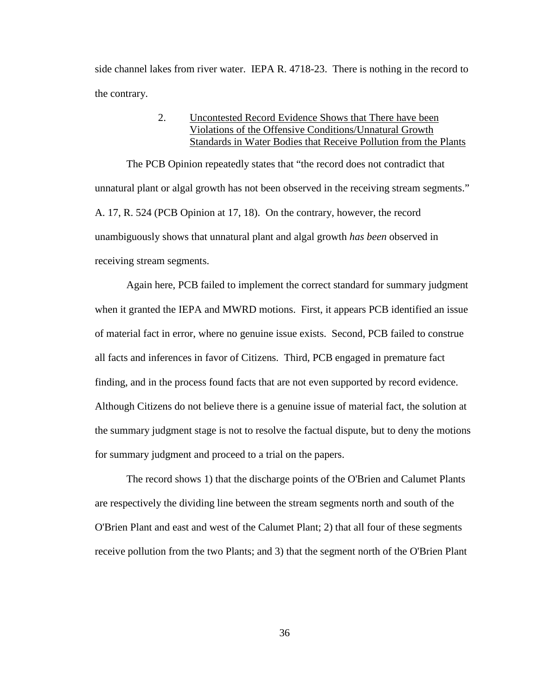side channel lakes from river water. IEPA R. 4718-23. There is nothing in the record to the contrary.

## 2. Uncontested Record Evidence Shows that There have been Violations of the Offensive Conditions/Unnatural Growth Standards in Water Bodies that Receive Pollution from the Plants

The PCB Opinion repeatedly states that "the record does not contradict that unnatural plant or algal growth has not been observed in the receiving stream segments." A. 17, R. 524 (PCB Opinion at 17, 18). On the contrary, however, the record unambiguously shows that unnatural plant and algal growth *has been* observed in receiving stream segments.

Again here, PCB failed to implement the correct standard for summary judgment when it granted the IEPA and MWRD motions. First, it appears PCB identified an issue of material fact in error, where no genuine issue exists. Second, PCB failed to construe all facts and inferences in favor of Citizens. Third, PCB engaged in premature fact finding, and in the process found facts that are not even supported by record evidence. Although Citizens do not believe there is a genuine issue of material fact, the solution at the summary judgment stage is not to resolve the factual dispute, but to deny the motions for summary judgment and proceed to a trial on the papers.

The record shows 1) that the discharge points of the O'Brien and Calumet Plants are respectively the dividing line between the stream segments north and south of the O'Brien Plant and east and west of the Calumet Plant; 2) that all four of these segments receive pollution from the two Plants; and 3) that the segment north of the O'Brien Plant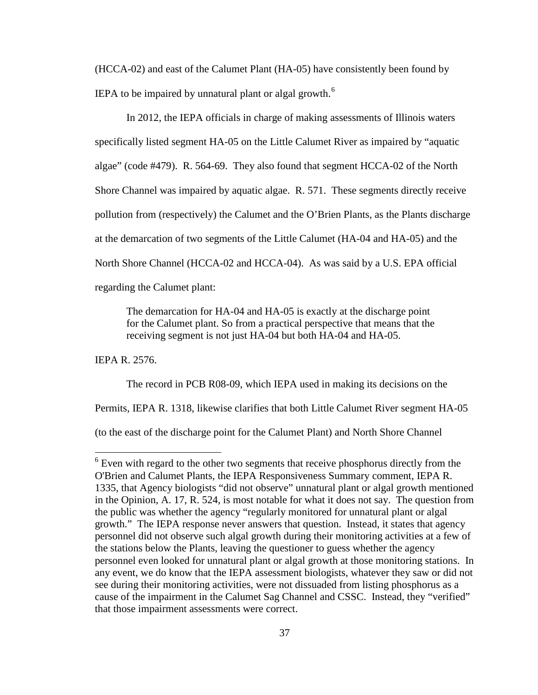(HCCA-02) and east of the Calumet Plant (HA-05) have consistently been found by IEPA to be impaired by unnatural plant or algal growth. $^6$ 

In 2012, the IEPA officials in charge of making assessments of Illinois waters specifically listed segment HA-05 on the Little Calumet River as impaired by "aquatic algae" (code #479). R. 564-69. They also found that segment HCCA-02 of the North Shore Channel was impaired by aquatic algae. R. 571. These segments directly receive pollution from (respectively) the Calumet and the O'Brien Plants, as the Plants discharge at the demarcation of two segments of the Little Calumet (HA-04 and HA-05) and the North Shore Channel (HCCA-02 and HCCA-04). As was said by a U.S. EPA official regarding the Calumet plant:

The demarcation for HA-04 and HA-05 is exactly at the discharge point for the Calumet plant. So from a practical perspective that means that the receiving segment is not just HA-04 but both HA-04 and HA-05.

IEPA R. 2576.

 $\overline{a}$ 

The record in PCB R08-09, which IEPA used in making its decisions on the

Permits, IEPA R. 1318, likewise clarifies that both Little Calumet River segment HA-05

(to the east of the discharge point for the Calumet Plant) and North Shore Channel

 $6$  Even with regard to the other two segments that receive phosphorus directly from the O'Brien and Calumet Plants, the IEPA Responsiveness Summary comment, IEPA R. 1335, that Agency biologists "did not observe" unnatural plant or algal growth mentioned in the Opinion, A. 17, R. 524, is most notable for what it does not say. The question from the public was whether the agency "regularly monitored for unnatural plant or algal growth." The IEPA response never answers that question. Instead, it states that agency personnel did not observe such algal growth during their monitoring activities at a few of the stations below the Plants, leaving the questioner to guess whether the agency personnel even looked for unnatural plant or algal growth at those monitoring stations. In any event, we do know that the IEPA assessment biologists, whatever they saw or did not see during their monitoring activities, were not dissuaded from listing phosphorus as a cause of the impairment in the Calumet Sag Channel and CSSC. Instead, they "verified" that those impairment assessments were correct.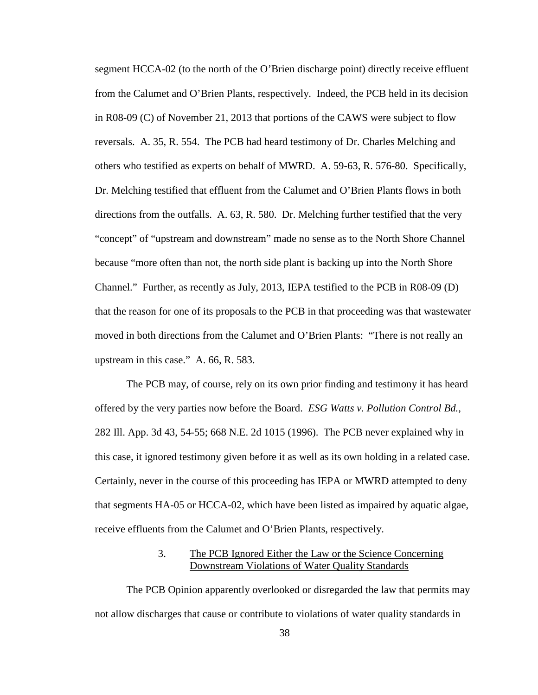segment HCCA-02 (to the north of the O'Brien discharge point) directly receive effluent from the Calumet and O'Brien Plants, respectively. Indeed, the PCB held in its decision in R08-09 (C) of November 21, 2013 that portions of the CAWS were subject to flow reversals. A. 35, R. 554. The PCB had heard testimony of Dr. Charles Melching and others who testified as experts on behalf of MWRD. A. 59-63, R. 576-80. Specifically, Dr. Melching testified that effluent from the Calumet and O'Brien Plants flows in both directions from the outfalls. A. 63, R. 580. Dr. Melching further testified that the very "concept" of "upstream and downstream" made no sense as to the North Shore Channel because "more often than not, the north side plant is backing up into the North Shore Channel." Further, as recently as July, 2013, IEPA testified to the PCB in R08-09 (D) that the reason for one of its proposals to the PCB in that proceeding was that wastewater moved in both directions from the Calumet and O'Brien Plants: "There is not really an upstream in this case." A. 66, R. 583.

The PCB may, of course, rely on its own prior finding and testimony it has heard offered by the very parties now before the Board. *ESG Watts v. Pollution Control Bd.*, 282 Ill. App. 3d 43, 54-55; 668 N.E. 2d 1015 (1996). The PCB never explained why in this case, it ignored testimony given before it as well as its own holding in a related case. Certainly, never in the course of this proceeding has IEPA or MWRD attempted to deny that segments HA-05 or HCCA-02, which have been listed as impaired by aquatic algae, receive effluents from the Calumet and O'Brien Plants, respectively.

## 3.The PCB Ignored Either the Law or the Science Concerning Downstream Violations of Water Quality Standards

The PCB Opinion apparently overlooked or disregarded the law that permits may not allow discharges that cause or contribute to violations of water quality standards in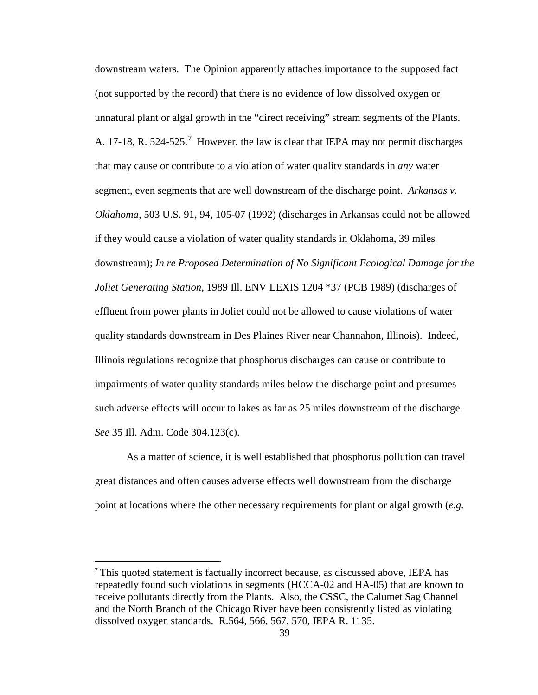downstream waters. The Opinion apparently attaches importance to the supposed fact (not supported by the record) that there is no evidence of low dissolved oxygen or unnatural plant or algal growth in the "direct receiving" stream segments of the Plants. A. 17-18, R. 524-525.<sup>7</sup> However, the law is clear that IEPA may not permit discharges that may cause or contribute to a violation of water quality standards in *any* water segment, even segments that are well downstream of the discharge point. *Arkansas v. Oklahoma*, 503 U.S. 91, 94, 105-07 (1992) (discharges in Arkansas could not be allowed if they would cause a violation of water quality standards in Oklahoma, 39 miles downstream); *In re Proposed Determination of No Significant Ecological Damage for the Joliet Generating Station*, 1989 Ill. ENV LEXIS 1204 \*37 (PCB 1989) (discharges of effluent from power plants in Joliet could not be allowed to cause violations of water quality standards downstream in Des Plaines River near Channahon, Illinois). Indeed, Illinois regulations recognize that phosphorus discharges can cause or contribute to impairments of water quality standards miles below the discharge point and presumes such adverse effects will occur to lakes as far as 25 miles downstream of the discharge. *See* 35 Ill. Adm. Code 304.123(c).

As a matter of science, it is well established that phosphorus pollution can travel great distances and often causes adverse effects well downstream from the discharge point at locations where the other necessary requirements for plant or algal growth (*e.g.*

<sup>7</sup> This quoted statement is factually incorrect because, as discussed above, IEPA has repeatedly found such violations in segments (HCCA-02 and HA-05) that are known to receive pollutants directly from the Plants. Also, the CSSC, the Calumet Sag Channel and the North Branch of the Chicago River have been consistently listed as violating dissolved oxygen standards. R.564, 566, 567, 570, IEPA R. 1135.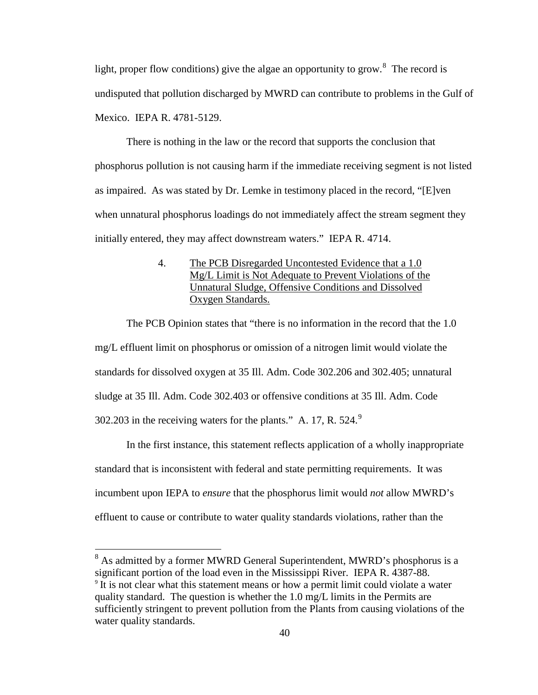light, proper flow conditions) give the algae an opportunity to grow.<sup>8</sup> The record is undisputed that pollution discharged by MWRD can contribute to problems in the Gulf of Mexico. IEPA R. 4781-5129.

 There is nothing in the law or the record that supports the conclusion that phosphorus pollution is not causing harm if the immediate receiving segment is not listed as impaired. As was stated by Dr. Lemke in testimony placed in the record, "[E]ven when unnatural phosphorus loadings do not immediately affect the stream segment they initially entered, they may affect downstream waters." IEPA R. 4714.

## 4. The PCB Disregarded Uncontested Evidence that a 1.0 Mg/L Limit is Not Adequate to Prevent Violations of the Unnatural Sludge, Offensive Conditions and Dissolved Oxygen Standards.

The PCB Opinion states that "there is no information in the record that the 1.0 mg/L effluent limit on phosphorus or omission of a nitrogen limit would violate the standards for dissolved oxygen at 35 Ill. Adm. Code 302.206 and 302.405; unnatural sludge at 35 Ill. Adm. Code 302.403 or offensive conditions at 35 Ill. Adm. Code 302.203 in the receiving waters for the plants." A. 17, R. 524. $^9$ 

In the first instance, this statement reflects application of a wholly inappropriate standard that is inconsistent with federal and state permitting requirements. It was incumbent upon IEPA to *ensure* that the phosphorus limit would *not* allow MWRD's effluent to cause or contribute to water quality standards violations, rather than the

 $8$  As admitted by a former MWRD General Superintendent, MWRD's phosphorus is a significant portion of the load even in the Mississippi River. IEPA R. 4387-88.<br><sup>9</sup> It is not clear what this statement means or how a permit limit could violate a water quality standard. The question is whether the 1.0 mg/L limits in the Permits are sufficiently stringent to prevent pollution from the Plants from causing violations of the water quality standards.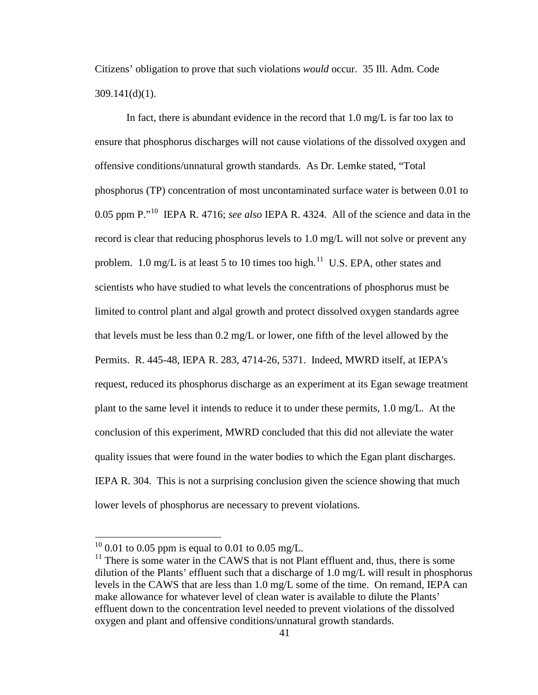Citizens' obligation to prove that such violations *would* occur. 35 Ill. Adm. Code 309.141(d)(1).

In fact, there is abundant evidence in the record that 1.0 mg/L is far too lax to ensure that phosphorus discharges will not cause violations of the dissolved oxygen and offensive conditions/unnatural growth standards. As Dr. Lemke stated, "Total phosphorus (TP) concentration of most uncontaminated surface water is between 0.01 to 0.05 ppm P."10 IEPA R. 4716; *see also* IEPA R. 4324. All of the science and data in the record is clear that reducing phosphorus levels to 1.0 mg/L will not solve or prevent any problem. 1.0 mg/L is at least 5 to 10 times too high.<sup>11</sup> U.S. EPA, other states and scientists who have studied to what levels the concentrations of phosphorus must be limited to control plant and algal growth and protect dissolved oxygen standards agree that levels must be less than 0.2 mg/L or lower, one fifth of the level allowed by the Permits. R. 445-48, IEPA R. 283, 4714-26, 5371. Indeed, MWRD itself, at IEPA's request, reduced its phosphorus discharge as an experiment at its Egan sewage treatment plant to the same level it intends to reduce it to under these permits, 1.0 mg/L. At the conclusion of this experiment, MWRD concluded that this did not alleviate the water quality issues that were found in the water bodies to which the Egan plant discharges. IEPA R. 304. This is not a surprising conclusion given the science showing that much lower levels of phosphorus are necessary to prevent violations.

 $^{10}$  0.01 to 0.05 ppm is equal to 0.01 to 0.05 mg/L.

 $11$  There is some water in the CAWS that is not Plant effluent and, thus, there is some dilution of the Plants' effluent such that a discharge of 1.0 mg/L will result in phosphorus levels in the CAWS that are less than 1.0 mg/L some of the time. On remand, IEPA can make allowance for whatever level of clean water is available to dilute the Plants' effluent down to the concentration level needed to prevent violations of the dissolved oxygen and plant and offensive conditions/unnatural growth standards.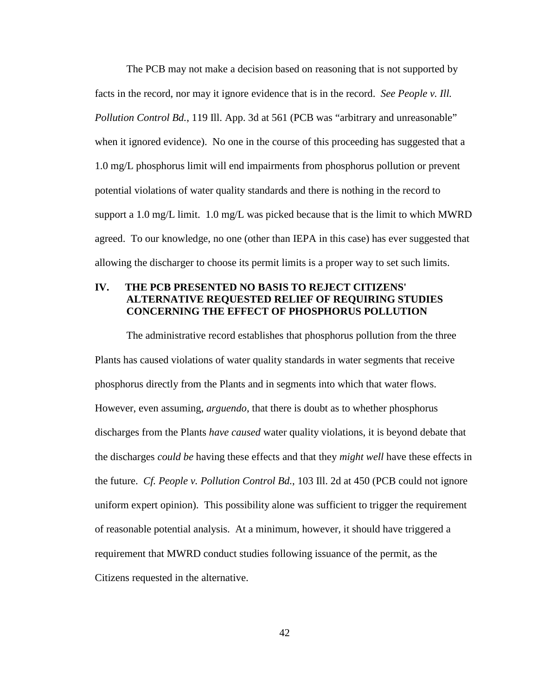The PCB may not make a decision based on reasoning that is not supported by facts in the record, nor may it ignore evidence that is in the record. *See People v. Ill. Pollution Control Bd.*, 119 Ill. App. 3d at 561 (PCB was "arbitrary and unreasonable" when it ignored evidence). No one in the course of this proceeding has suggested that a 1.0 mg/L phosphorus limit will end impairments from phosphorus pollution or prevent potential violations of water quality standards and there is nothing in the record to support a 1.0 mg/L limit. 1.0 mg/L was picked because that is the limit to which MWRD agreed. To our knowledge, no one (other than IEPA in this case) has ever suggested that allowing the discharger to choose its permit limits is a proper way to set such limits.

## **IV. THE PCB PRESENTED NO BASIS TO REJECT CITIZENS' ALTERNATIVE REQUESTED RELIEF OF REQUIRING STUDIES CONCERNING THE EFFECT OF PHOSPHORUS POLLUTION**

The administrative record establishes that phosphorus pollution from the three Plants has caused violations of water quality standards in water segments that receive phosphorus directly from the Plants and in segments into which that water flows. However, even assuming, *arguendo*, that there is doubt as to whether phosphorus discharges from the Plants *have caused* water quality violations, it is beyond debate that the discharges *could be* having these effects and that they *might well* have these effects in the future. *Cf. People v. Pollution Control Bd.*, 103 Ill. 2d at 450 (PCB could not ignore uniform expert opinion). This possibility alone was sufficient to trigger the requirement of reasonable potential analysis. At a minimum, however, it should have triggered a requirement that MWRD conduct studies following issuance of the permit, as the Citizens requested in the alternative.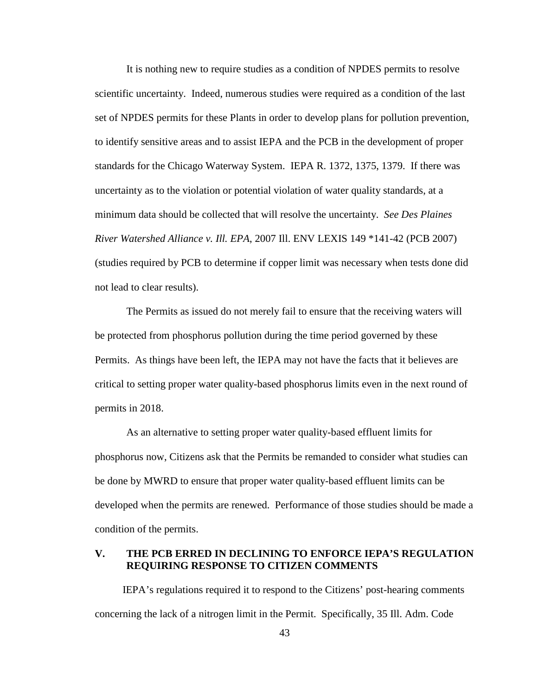It is nothing new to require studies as a condition of NPDES permits to resolve scientific uncertainty. Indeed, numerous studies were required as a condition of the last set of NPDES permits for these Plants in order to develop plans for pollution prevention, to identify sensitive areas and to assist IEPA and the PCB in the development of proper standards for the Chicago Waterway System. IEPA R. 1372, 1375, 1379. If there was uncertainty as to the violation or potential violation of water quality standards, at a minimum data should be collected that will resolve the uncertainty. *See Des Plaines River Watershed Alliance v. Ill. EPA*, 2007 Ill. ENV LEXIS 149 \*141-42 (PCB 2007) (studies required by PCB to determine if copper limit was necessary when tests done did not lead to clear results).

The Permits as issued do not merely fail to ensure that the receiving waters will be protected from phosphorus pollution during the time period governed by these Permits. As things have been left, the IEPA may not have the facts that it believes are critical to setting proper water quality-based phosphorus limits even in the next round of permits in 2018.

As an alternative to setting proper water quality-based effluent limits for phosphorus now, Citizens ask that the Permits be remanded to consider what studies can be done by MWRD to ensure that proper water quality-based effluent limits can be developed when the permits are renewed. Performance of those studies should be made a condition of the permits.

## **V. THE PCB ERRED IN DECLINING TO ENFORCE IEPA'S REGULATION REQUIRING RESPONSE TO CITIZEN COMMENTS**

IEPA's regulations required it to respond to the Citizens' post-hearing comments concerning the lack of a nitrogen limit in the Permit. Specifically, 35 Ill. Adm. Code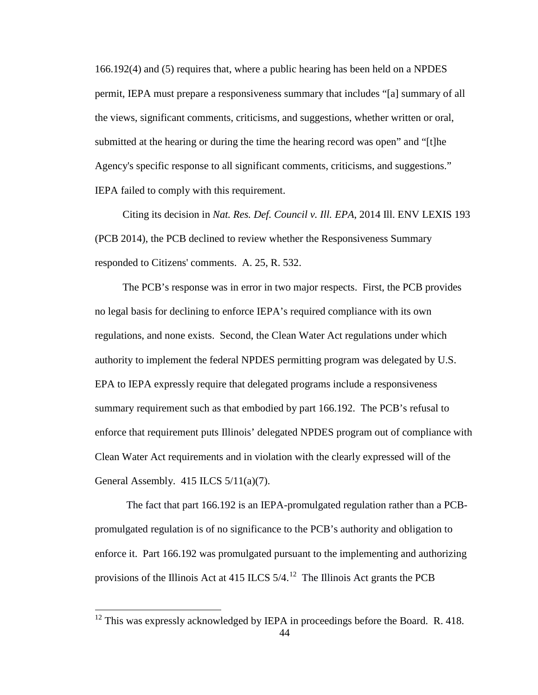166.192(4) and (5) requires that, where a public hearing has been held on a NPDES permit, IEPA must prepare a responsiveness summary that includes "[a] summary of all the views, significant comments, criticisms, and suggestions, whether written or oral, submitted at the hearing or during the time the hearing record was open" and "[t]he Agency's specific response to all significant comments, criticisms, and suggestions." IEPA failed to comply with this requirement.

Citing its decision in *Nat. Res. Def. Council v. Ill. EPA*, 2014 Ill. ENV LEXIS 193 (PCB 2014), the PCB declined to review whether the Responsiveness Summary responded to Citizens' comments. A. 25, R. 532.

The PCB's response was in error in two major respects. First, the PCB provides no legal basis for declining to enforce IEPA's required compliance with its own regulations, and none exists. Second, the Clean Water Act regulations under which authority to implement the federal NPDES permitting program was delegated by U.S. EPA to IEPA expressly require that delegated programs include a responsiveness summary requirement such as that embodied by part 166.192. The PCB's refusal to enforce that requirement puts Illinois' delegated NPDES program out of compliance with Clean Water Act requirements and in violation with the clearly expressed will of the General Assembly. 415 ILCS  $5/11(a)(7)$ .

The fact that part 166.192 is an IEPA-promulgated regulation rather than a PCBpromulgated regulation is of no significance to the PCB's authority and obligation to enforce it. Part 166.192 was promulgated pursuant to the implementing and authorizing provisions of the Illinois Act at 415 ILCS  $5/4$ .<sup>12</sup> The Illinois Act grants the PCB

 $12$  This was expressly acknowledged by IEPA in proceedings before the Board. R. 418.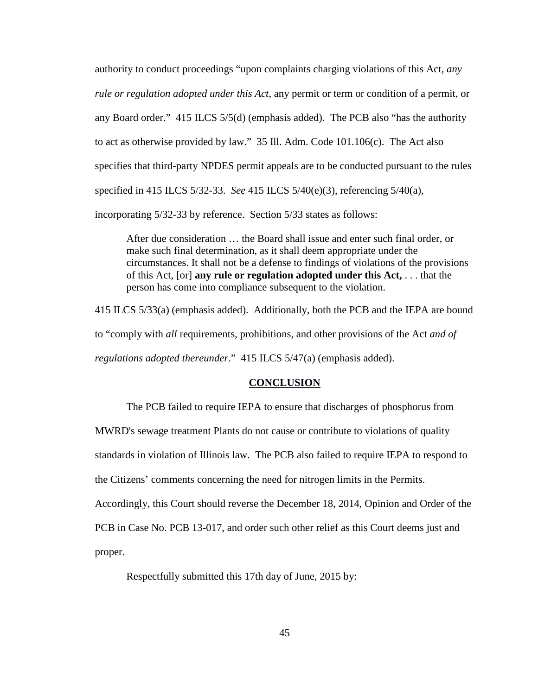authority to conduct proceedings "upon complaints charging violations of this Act, *any rule or regulation adopted under this Act*, any permit or term or condition of a permit, or any Board order." 415 ILCS 5/5(d) (emphasis added). The PCB also "has the authority to act as otherwise provided by law." 35 Ill. Adm. Code 101.106(c). The Act also specifies that third-party NPDES permit appeals are to be conducted pursuant to the rules specified in 415 ILCS 5/32-33. *See* 415 ILCS 5/40(e)(3), referencing 5/40(a), incorporating 5/32-33 by reference. Section 5/33 states as follows:

After due consideration … the Board shall issue and enter such final order, or make such final determination, as it shall deem appropriate under the circumstances. It shall not be a defense to findings of violations of the provisions of this Act, [or] **any rule or regulation adopted under this Act,** . . . that the person has come into compliance subsequent to the violation.

415 ILCS 5/33(a) (emphasis added). Additionally, both the PCB and the IEPA are bound to "comply with *all* requirements, prohibitions, and other provisions of the Act *and of regulations adopted thereunder*." 415 ILCS 5/47(a) (emphasis added).

### **CONCLUSION**

The PCB failed to require IEPA to ensure that discharges of phosphorus from MWRD's sewage treatment Plants do not cause or contribute to violations of quality standards in violation of Illinois law. The PCB also failed to require IEPA to respond to the Citizens' comments concerning the need for nitrogen limits in the Permits. Accordingly, this Court should reverse the December 18, 2014, Opinion and Order of the PCB in Case No. PCB 13-017, and order such other relief as this Court deems just and proper.

Respectfully submitted this 17th day of June, 2015 by: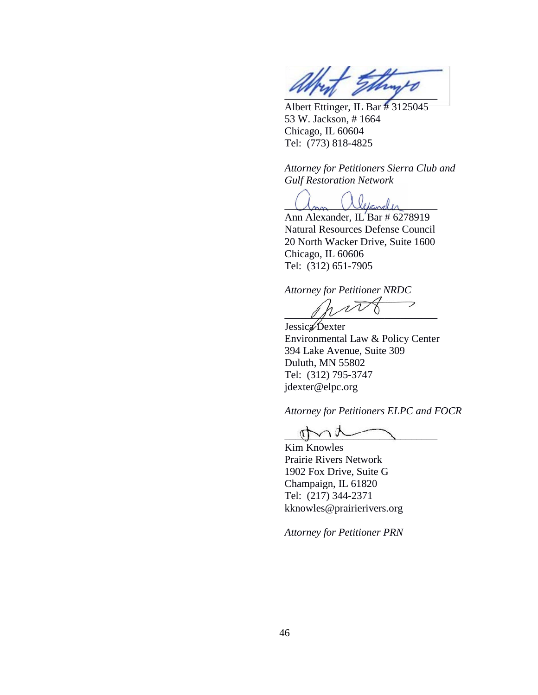

Albert Ettinger, IL Bar # 3125045 53 W. Jackson, # 1664 Chicago, IL 60604 Tel: (773) 818-4825

*Attorney for Petitioners Sierra Club and Gulf Restoration Network*

 $\mathbb{Z}_{\geq 0}$ 

Ann Alexander, IL Bar  $\#$  6278919 Natural Resources Defense Council 20 North Wacker Drive, Suite 1600 Chicago, IL 60606 Tel: (312) 651-7905

*Attorney for Petitioner NRDC*

 $\overline{\phantom{1}}$  $\mathscr{U}$ 

Jessica Dexter Environmental Law & Policy Center 394 Lake Avenue, Suite 309 Duluth, MN 55802 Tel: (312) 795-3747 jdexter@elpc.org

*Attorney for Petitioners ELPC and FOCR*

 $\eta \sim \sim$ 

Kim Knowles Prairie Rivers Network 1902 Fox Drive, Suite G Champaign, IL 61820 Tel: (217) 344-2371 kknowles@prairierivers.org

*Attorney for Petitioner PRN*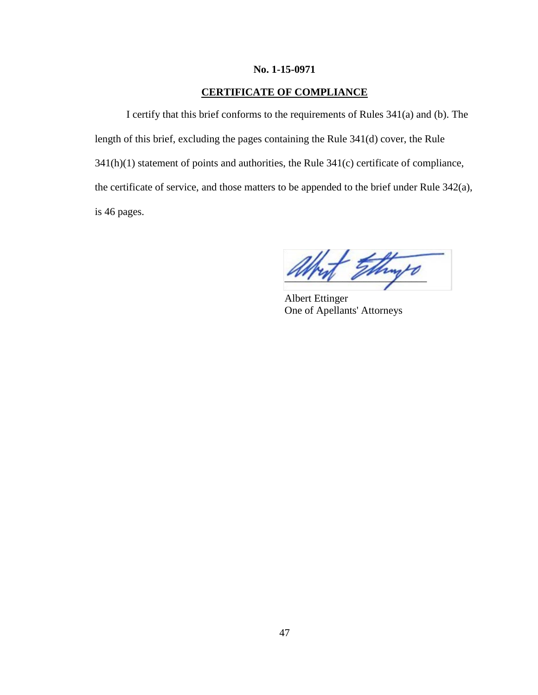### **No. 1-15-0971**

## **CERTIFICATE OF COMPLIANCE**

I certify that this brief conforms to the requirements of Rules 341(a) and (b). The length of this brief, excluding the pages containing the Rule 341(d) cover, the Rule 341(h)(1) statement of points and authorities, the Rule 341(c) certificate of compliance, the certificate of service, and those matters to be appended to the brief under Rule 342(a), is 46 pages.

Things

Albert Ettinger One of Apellants' Attorneys